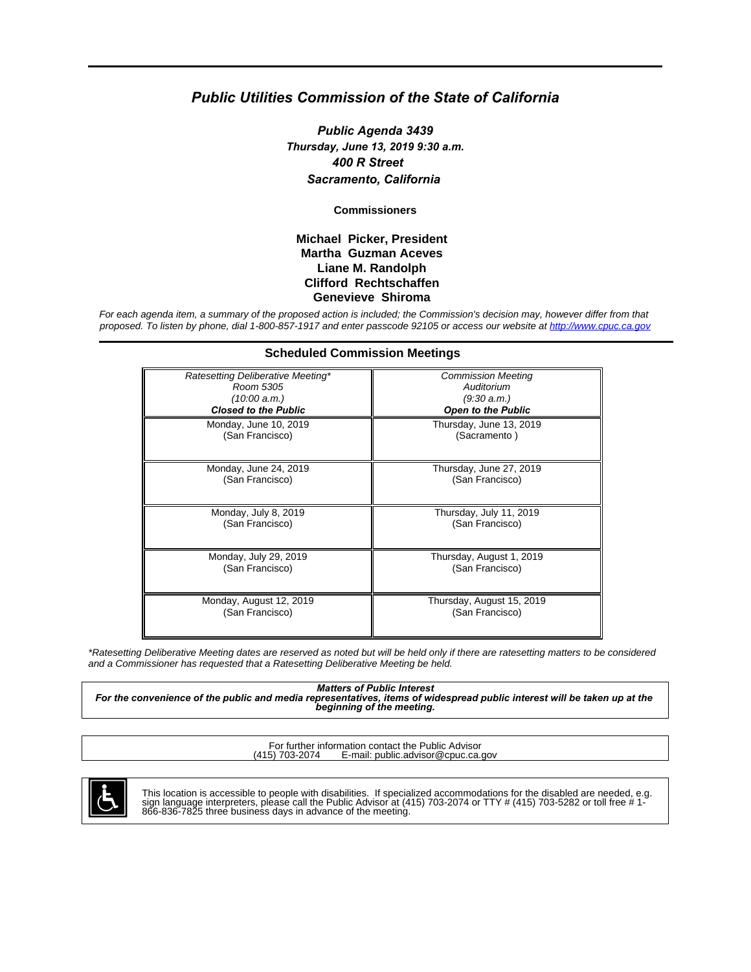# *Public Utilities Commission of the State of California*

*Public Agenda 3439 Thursday, June 13, 2019 9:30 a.m. 400 R Street Sacramento, California*

**Commissioners**

#### **Michael Picker, President Martha Guzman Aceves Liane M. Randolph Clifford Rechtschaffen Genevieve Shiroma**

For each agenda item, a summary of the proposed action is included; the Commission's decision may, however differ from that proposed. To listen by phone, dial 1-800-857-1917 and enter passcode 92105 or access our website at<http://www.cpuc.ca.gov>

**Scheduled Commission Meetings**

| Ratesetting Deliberative Meeting* | <b>Commission Meeting</b> |
|-----------------------------------|---------------------------|
| Room 5305                         | Auditorium                |
| (10:00 a.m.)                      | (9:30 a.m.)               |
| <b>Closed to the Public</b>       | <b>Open to the Public</b> |
| Monday, June 10, 2019             | Thursday, June 13, 2019   |
| (San Francisco)                   | (Sacramento)              |
| Monday, June 24, 2019             | Thursday, June 27, 2019   |
| (San Francisco)                   | (San Francisco)           |
| Monday, July 8, 2019              | Thursday, July 11, 2019   |
| (San Francisco)                   | (San Francisco)           |
| Monday, July 29, 2019             | Thursday, August 1, 2019  |
| (San Francisco)                   | (San Francisco)           |
| Monday, August 12, 2019           | Thursday, August 15, 2019 |
| (San Francisco)                   | (San Francisco)           |

\*Ratesetting Deliberative Meeting dates are reserved as noted but will be held only if there are ratesetting matters to be considered and a Commissioner has requested that a Ratesetting Deliberative Meeting be held.

*Matters of Public Interest For the convenience of the public and media representatives, items of widespread public interest will be taken up at the beginning of the meeting.*

For further information contact the Public Advisor<br>(415) 703-2074 E-mail: public advisor@cpuc.ca. E-mail: public.advisor@cpuc.ca.gov



This location is accessible to people with disabilities. If specialized accommodations for the disabled are needed, e.g.<br>sign language interpreters, please call the Public Advisor at (415) 703-2074 or TTY # (415) 703-5282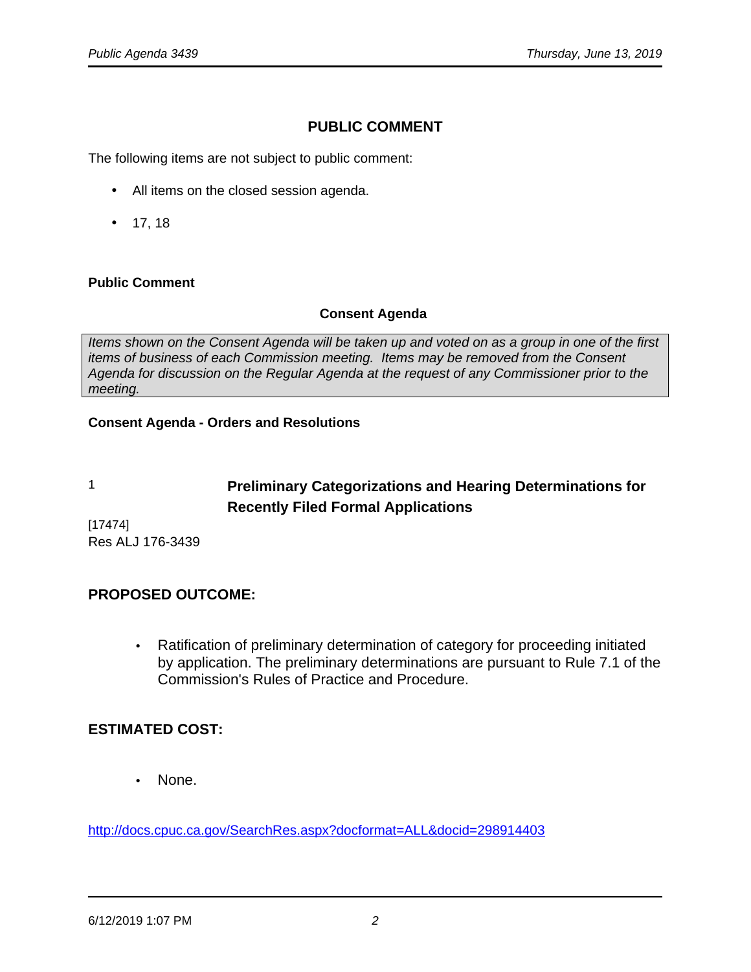# **PUBLIC COMMENT**

The following items are not subject to public comment:

- All items on the closed session agenda.
- 17, 18

#### **Public Comment**

#### **Consent Agenda**

Items shown on the Consent Agenda will be taken up and voted on as a group in one of the first items of business of each Commission meeting. Items may be removed from the Consent Agenda for discussion on the Regular Agenda at the request of any Commissioner prior to the meeting.

# **Consent Agenda - Orders and Resolutions**

# 1 **Preliminary Categorizations and Hearing Determinations for Recently Filed Formal Applications**

[17474] Res ALJ 176-3439

# **PROPOSED OUTCOME:**

• Ratification of preliminary determination of category for proceeding initiated by application. The preliminary determinations are pursuant to Rule 7.1 of the Commission's Rules of Practice and Procedure.

# **ESTIMATED COST:**

• None.

<http://docs.cpuc.ca.gov/SearchRes.aspx?docformat=ALL&docid=298914403>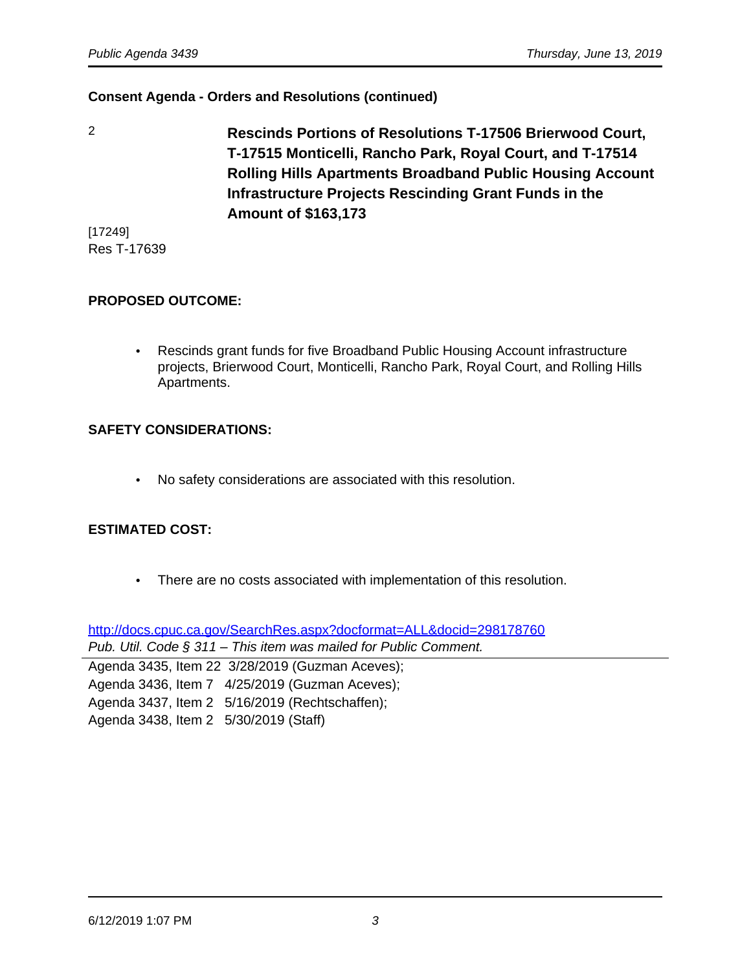2 **Rescinds Portions of Resolutions T-17506 Brierwood Court, T-17515 Monticelli, Rancho Park, Royal Court, and T-17514 Rolling Hills Apartments Broadband Public Housing Account Infrastructure Projects Rescinding Grant Funds in the Amount of \$163,173**

[17249] Res T-17639

#### **PROPOSED OUTCOME:**

• Rescinds grant funds for five Broadband Public Housing Account infrastructure projects, Brierwood Court, Monticelli, Rancho Park, Royal Court, and Rolling Hills Apartments.

#### **SAFETY CONSIDERATIONS:**

• No safety considerations are associated with this resolution.

# **ESTIMATED COST:**

• There are no costs associated with implementation of this resolution.

<http://docs.cpuc.ca.gov/SearchRes.aspx?docformat=ALL&docid=298178760> Pub. Util. Code § 311 – This item was mailed for Public Comment.

Agenda 3435, Item 22 3/28/2019 (Guzman Aceves); Agenda 3436, Item 7 4/25/2019 (Guzman Aceves); Agenda 3437, Item 2 5/16/2019 (Rechtschaffen); Agenda 3438, Item 2 5/30/2019 (Staff)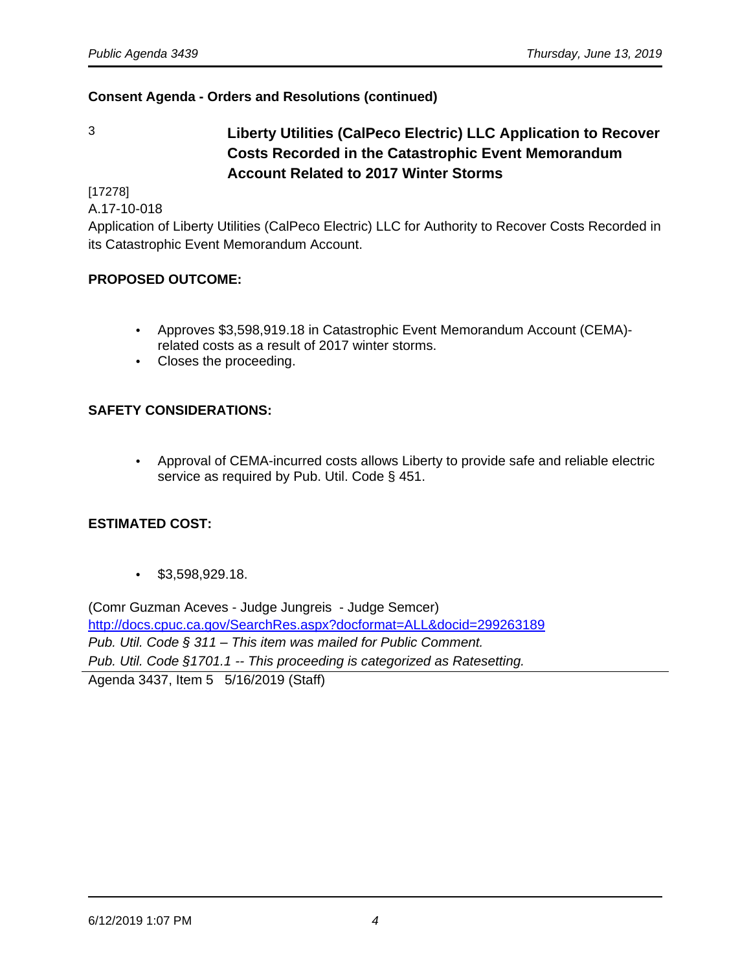3 **Liberty Utilities (CalPeco Electric) LLC Application to Recover Costs Recorded in the Catastrophic Event Memorandum Account Related to 2017 Winter Storms**

[17278]

A.17-10-018

Application of Liberty Utilities (CalPeco Electric) LLC for Authority to Recover Costs Recorded in its Catastrophic Event Memorandum Account.

# **PROPOSED OUTCOME:**

- Approves \$3,598,919.18 in Catastrophic Event Memorandum Account (CEMA) related costs as a result of 2017 winter storms.
- Closes the proceeding.

# **SAFETY CONSIDERATIONS:**

• Approval of CEMA-incurred costs allows Liberty to provide safe and reliable electric service as required by Pub. Util. Code § 451.

# **ESTIMATED COST:**

• \$3,598,929.18.

(Comr Guzman Aceves - Judge Jungreis - Judge Semcer) <http://docs.cpuc.ca.gov/SearchRes.aspx?docformat=ALL&docid=299263189> Pub. Util. Code § 311 – This item was mailed for Public Comment. Pub. Util. Code §1701.1 -- This proceeding is categorized as Ratesetting. Agenda 3437, Item 5 5/16/2019 (Staff)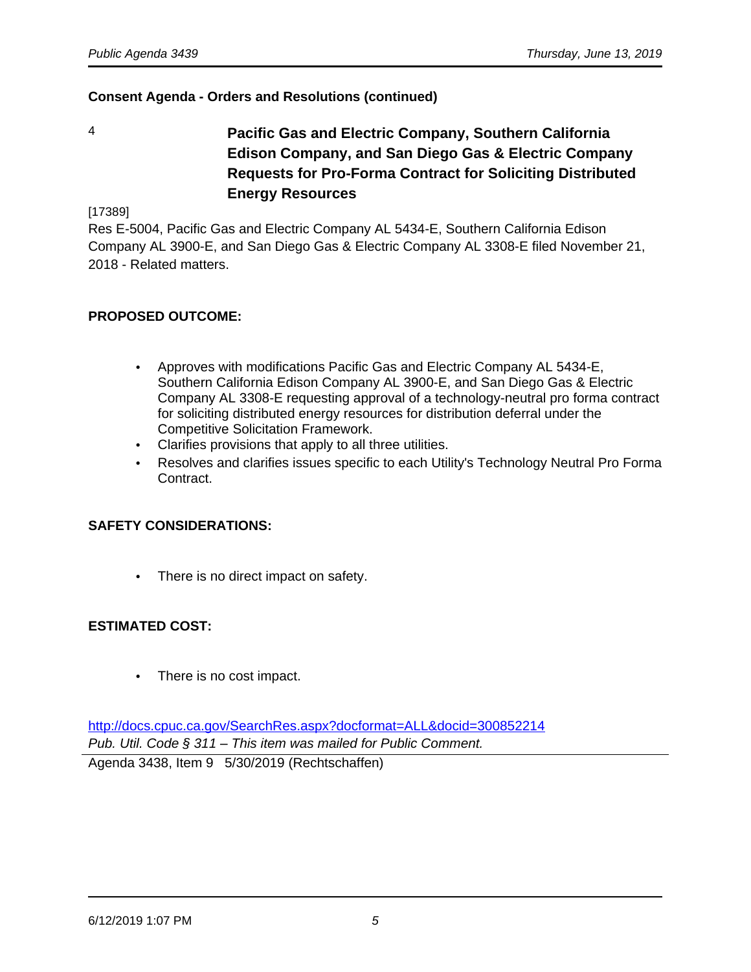- 
- 4 **Pacific Gas and Electric Company, Southern California Edison Company, and San Diego Gas & Electric Company Requests for Pro-Forma Contract for Soliciting Distributed Energy Resources**

[17389]

Res E-5004, Pacific Gas and Electric Company AL 5434-E, Southern California Edison Company AL 3900-E, and San Diego Gas & Electric Company AL 3308-E filed November 21, 2018 - Related matters.

#### **PROPOSED OUTCOME:**

- Approves with modifications Pacific Gas and Electric Company AL 5434-E, Southern California Edison Company AL 3900-E, and San Diego Gas & Electric Company AL 3308-E requesting approval of a technology-neutral pro forma contract for soliciting distributed energy resources for distribution deferral under the Competitive Solicitation Framework.
- Clarifies provisions that apply to all three utilities.
- Resolves and clarifies issues specific to each Utility's Technology Neutral Pro Forma Contract.

#### **SAFETY CONSIDERATIONS:**

There is no direct impact on safety.

#### **ESTIMATED COST:**

• There is no cost impact.

<http://docs.cpuc.ca.gov/SearchRes.aspx?docformat=ALL&docid=300852214> Pub. Util. Code § 311 – This item was mailed for Public Comment.

Agenda 3438, Item 9 5/30/2019 (Rechtschaffen)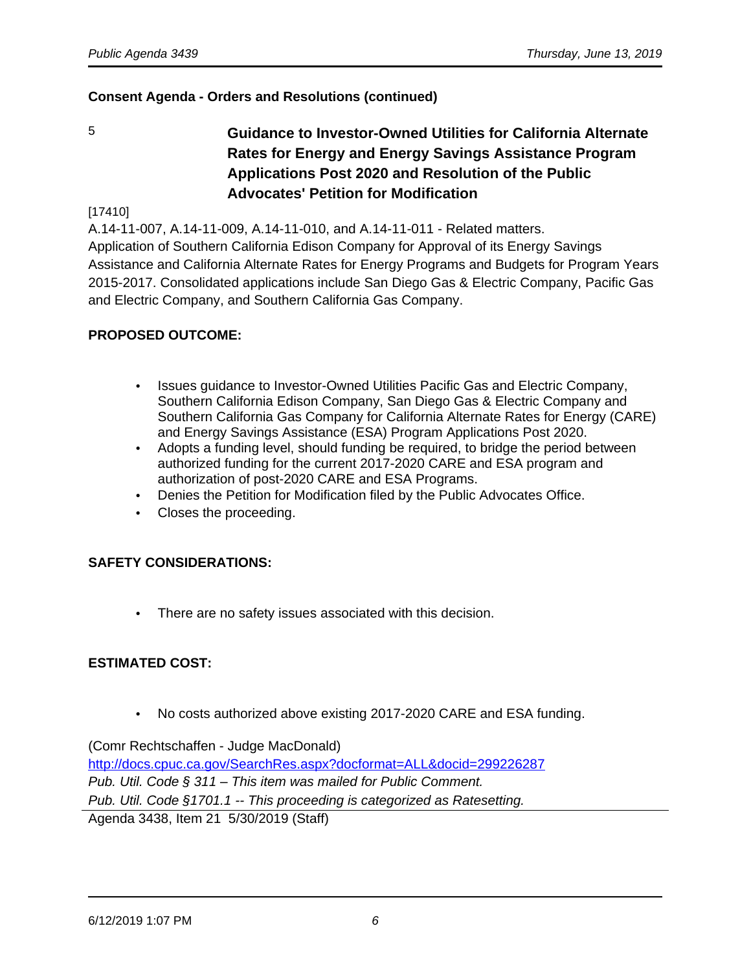5 **Guidance to Investor-Owned Utilities for California Alternate Rates for Energy and Energy Savings Assistance Program Applications Post 2020 and Resolution of the Public Advocates' Petition for Modification**

#### [17410]

A.14-11-007, A.14-11-009, A.14-11-010, and A.14-11-011 - Related matters.

Application of Southern California Edison Company for Approval of its Energy Savings Assistance and California Alternate Rates for Energy Programs and Budgets for Program Years 2015-2017. Consolidated applications include San Diego Gas & Electric Company, Pacific Gas and Electric Company, and Southern California Gas Company.

#### **PROPOSED OUTCOME:**

- Issues guidance to Investor-Owned Utilities Pacific Gas and Electric Company, Southern California Edison Company, San Diego Gas & Electric Company and Southern California Gas Company for California Alternate Rates for Energy (CARE) and Energy Savings Assistance (ESA) Program Applications Post 2020.
- Adopts a funding level, should funding be required, to bridge the period between authorized funding for the current 2017-2020 CARE and ESA program and authorization of post-2020 CARE and ESA Programs.
- Denies the Petition for Modification filed by the Public Advocates Office.
- Closes the proceeding.

#### **SAFETY CONSIDERATIONS:**

• There are no safety issues associated with this decision.

#### **ESTIMATED COST:**

• No costs authorized above existing 2017-2020 CARE and ESA funding.

(Comr Rechtschaffen - Judge MacDonald) <http://docs.cpuc.ca.gov/SearchRes.aspx?docformat=ALL&docid=299226287> Pub. Util. Code § 311 – This item was mailed for Public Comment. Pub. Util. Code §1701.1 -- This proceeding is categorized as Ratesetting. Agenda 3438, Item 21 5/30/2019 (Staff)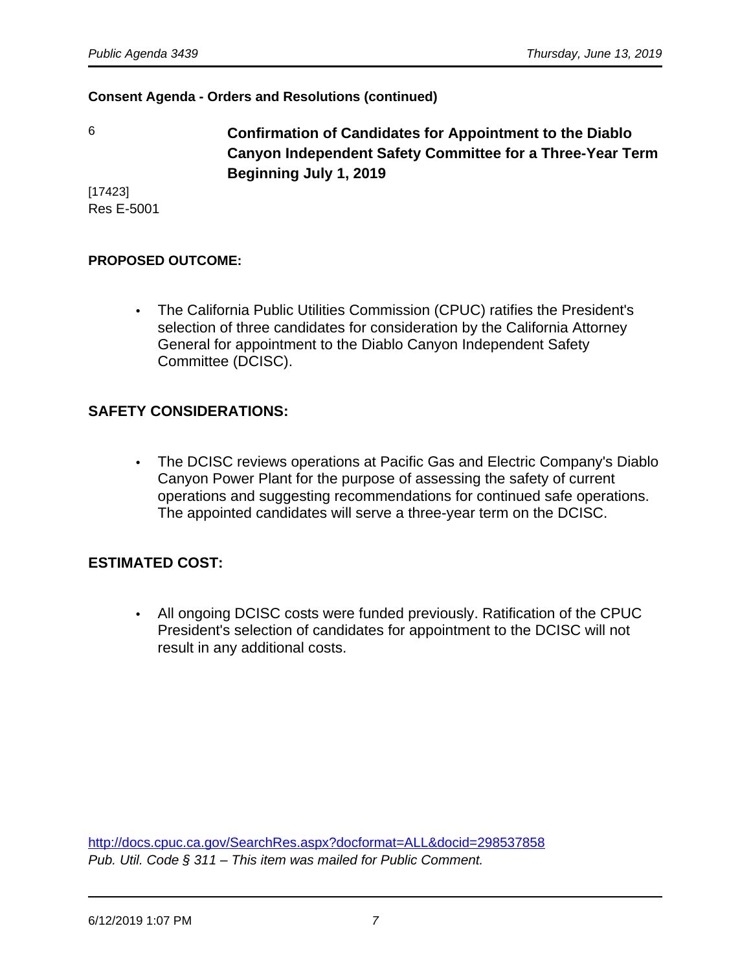6 **Confirmation of Candidates for Appointment to the Diablo Canyon Independent Safety Committee for a Three-Year Term Beginning July 1, 2019**

[17423] Res E-5001

# **PROPOSED OUTCOME:**

• The California Public Utilities Commission (CPUC) ratifies the President's selection of three candidates for consideration by the California Attorney General for appointment to the Diablo Canyon Independent Safety Committee (DCISC).

# **SAFETY CONSIDERATIONS:**

• The DCISC reviews operations at Pacific Gas and Electric Company's Diablo Canyon Power Plant for the purpose of assessing the safety of current operations and suggesting recommendations for continued safe operations. The appointed candidates will serve a three-year term on the DCISC.

# **ESTIMATED COST:**

• All ongoing DCISC costs were funded previously. Ratification of the CPUC President's selection of candidates for appointment to the DCISC will not result in any additional costs.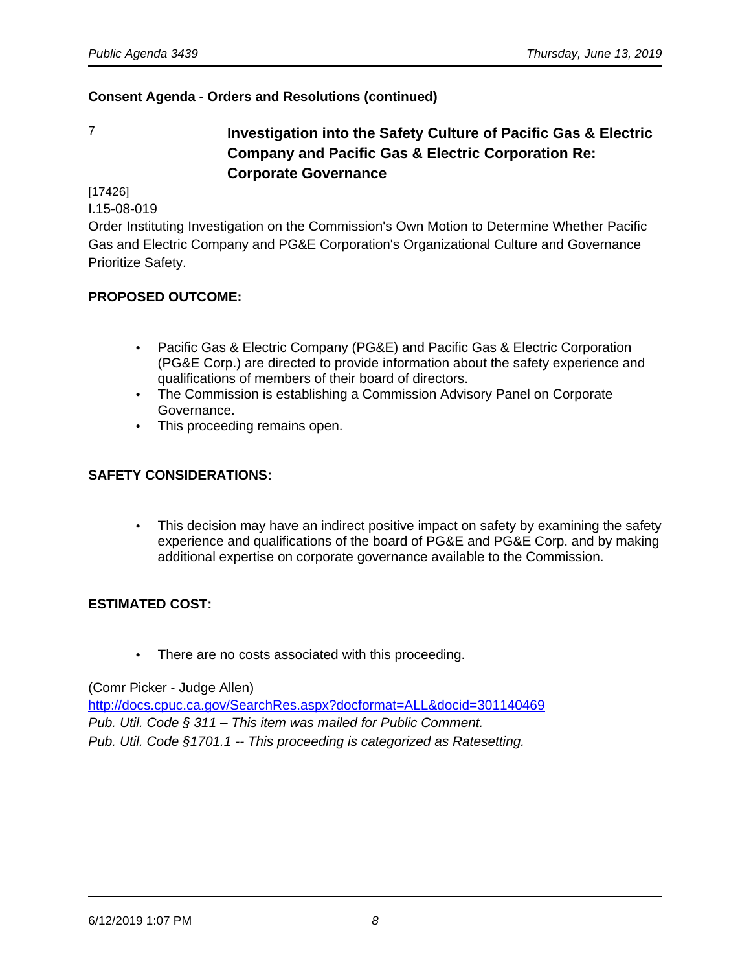# 7 **Investigation into the Safety Culture of Pacific Gas & Electric Company and Pacific Gas & Electric Corporation Re: Corporate Governance**

[17426]

I.15-08-019

Order Instituting Investigation on the Commission's Own Motion to Determine Whether Pacific Gas and Electric Company and PG&E Corporation's Organizational Culture and Governance Prioritize Safety.

# **PROPOSED OUTCOME:**

- Pacific Gas & Electric Company (PG&E) and Pacific Gas & Electric Corporation (PG&E Corp.) are directed to provide information about the safety experience and qualifications of members of their board of directors.
- The Commission is establishing a Commission Advisory Panel on Corporate Governance.
- This proceeding remains open.

#### **SAFETY CONSIDERATIONS:**

• This decision may have an indirect positive impact on safety by examining the safety experience and qualifications of the board of PG&E and PG&E Corp. and by making additional expertise on corporate governance available to the Commission.

#### **ESTIMATED COST:**

• There are no costs associated with this proceeding.

(Comr Picker - Judge Allen)

<http://docs.cpuc.ca.gov/SearchRes.aspx?docformat=ALL&docid=301140469> Pub. Util. Code § 311 – This item was mailed for Public Comment. Pub. Util. Code §1701.1 -- This proceeding is categorized as Ratesetting.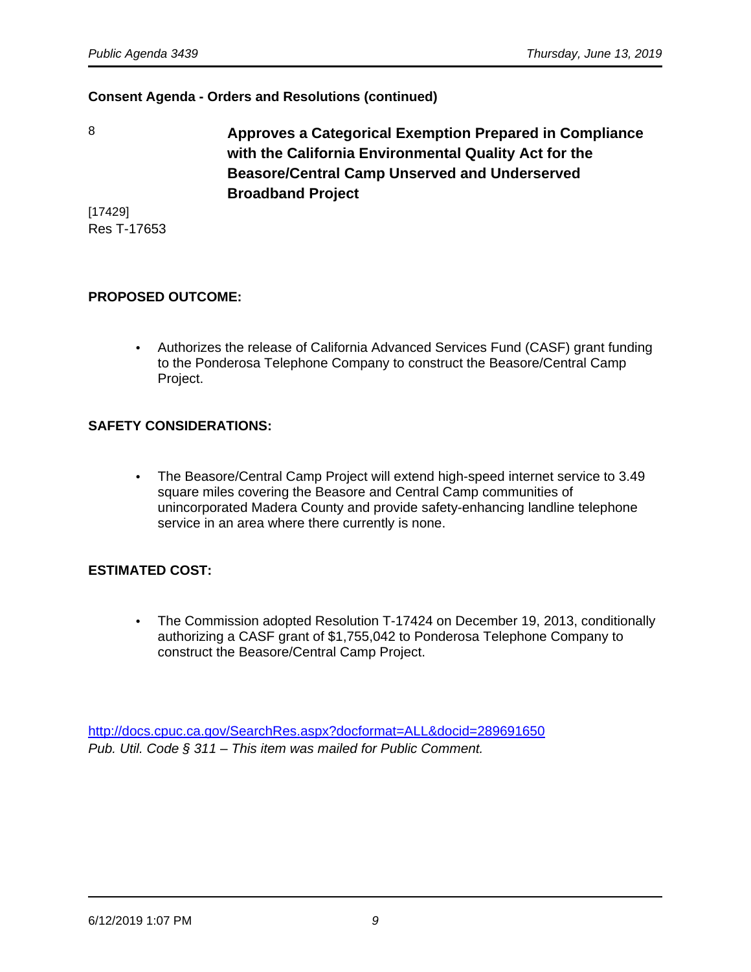8 **Approves a Categorical Exemption Prepared in Compliance with the California Environmental Quality Act for the Beasore/Central Camp Unserved and Underserved Broadband Project** 

[17429] Res T-17653

# **PROPOSED OUTCOME:**

• Authorizes the release of California Advanced Services Fund (CASF) grant funding to the Ponderosa Telephone Company to construct the Beasore/Central Camp Project.

# **SAFETY CONSIDERATIONS:**

• The Beasore/Central Camp Project will extend high-speed internet service to 3.49 square miles covering the Beasore and Central Camp communities of unincorporated Madera County and provide safety-enhancing landline telephone service in an area where there currently is none.

#### **ESTIMATED COST:**

• The Commission adopted Resolution T-17424 on December 19, 2013, conditionally authorizing a CASF grant of \$1,755,042 to Ponderosa Telephone Company to construct the Beasore/Central Camp Project.

<http://docs.cpuc.ca.gov/SearchRes.aspx?docformat=ALL&docid=289691650> Pub. Util. Code § 311 – This item was mailed for Public Comment.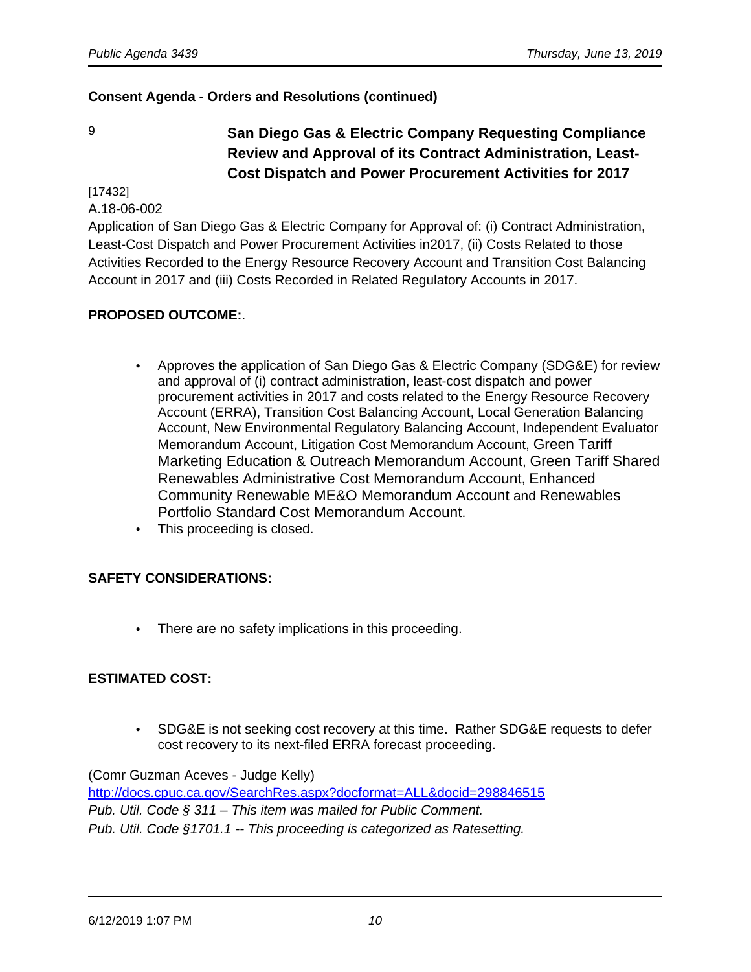# 9 **San Diego Gas & Electric Company Requesting Compliance Review and Approval of its Contract Administration, Least-Cost Dispatch and Power Procurement Activities for 2017**

#### [17432] A.18-06-002

Application of San Diego Gas & Electric Company for Approval of: (i) Contract Administration, Least-Cost Dispatch and Power Procurement Activities in2017, (ii) Costs Related to those Activities Recorded to the Energy Resource Recovery Account and Transition Cost Balancing Account in 2017 and (iii) Costs Recorded in Related Regulatory Accounts in 2017.

# **PROPOSED OUTCOME:**.

- Approves the application of San Diego Gas & Electric Company (SDG&E) for review and approval of (i) contract administration, least-cost dispatch and power procurement activities in 2017 and costs related to the Energy Resource Recovery Account (ERRA), Transition Cost Balancing Account, Local Generation Balancing Account, New Environmental Regulatory Balancing Account, Independent Evaluator Memorandum Account, Litigation Cost Memorandum Account, Green Tariff Marketing Education & Outreach Memorandum Account, Green Tariff Shared Renewables Administrative Cost Memorandum Account, Enhanced Community Renewable ME&O Memorandum Account and Renewables Portfolio Standard Cost Memorandum Account.
- This proceeding is closed.

# **SAFETY CONSIDERATIONS:**

• There are no safety implications in this proceeding.

#### **ESTIMATED COST:**

• SDG&E is not seeking cost recovery at this time. Rather SDG&E requests to defer cost recovery to its next-filed ERRA forecast proceeding.

(Comr Guzman Aceves - Judge Kelly) <http://docs.cpuc.ca.gov/SearchRes.aspx?docformat=ALL&docid=298846515> Pub. Util. Code § 311 – This item was mailed for Public Comment. Pub. Util. Code §1701.1 -- This proceeding is categorized as Ratesetting.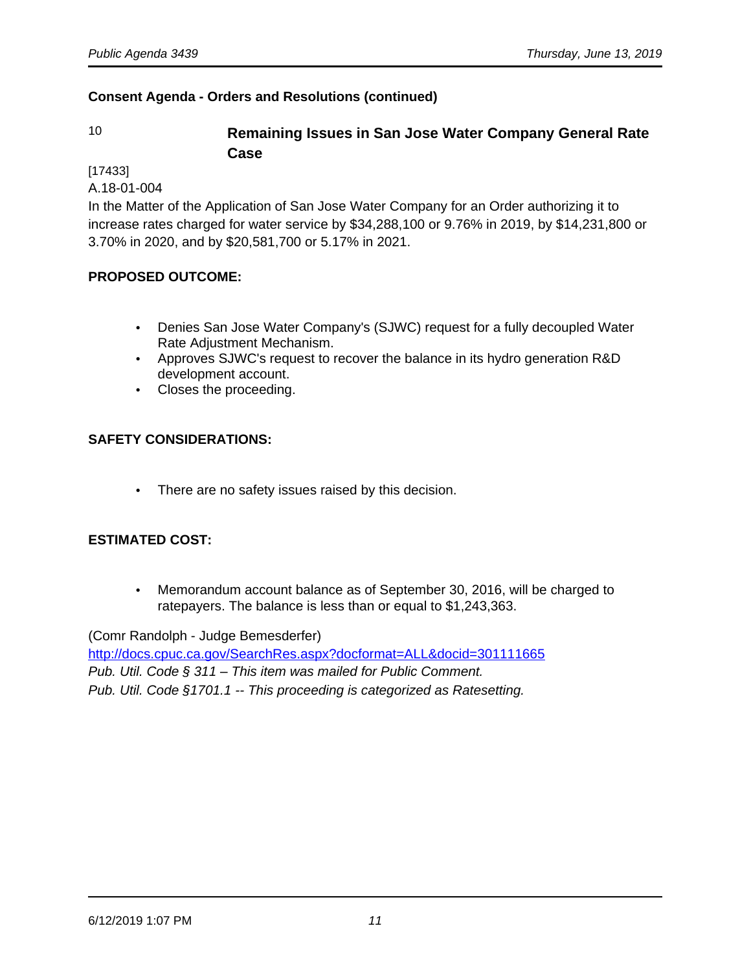# 10 **Remaining Issues in San Jose Water Company General Rate Case**

[17433]

A.18-01-004

In the Matter of the Application of San Jose Water Company for an Order authorizing it to increase rates charged for water service by \$34,288,100 or 9.76% in 2019, by \$14,231,800 or 3.70% in 2020, and by \$20,581,700 or 5.17% in 2021.

# **PROPOSED OUTCOME:**

- Denies San Jose Water Company's (SJWC) request for a fully decoupled Water Rate Adjustment Mechanism.
- Approves SJWC's request to recover the balance in its hydro generation R&D development account.
- Closes the proceeding.

# **SAFETY CONSIDERATIONS:**

• There are no safety issues raised by this decision.

#### **ESTIMATED COST:**

• Memorandum account balance as of September 30, 2016, will be charged to ratepayers. The balance is less than or equal to \$1,243,363.

(Comr Randolph - Judge Bemesderfer)

<http://docs.cpuc.ca.gov/SearchRes.aspx?docformat=ALL&docid=301111665> Pub. Util. Code § 311 – This item was mailed for Public Comment. Pub. Util. Code §1701.1 -- This proceeding is categorized as Ratesetting.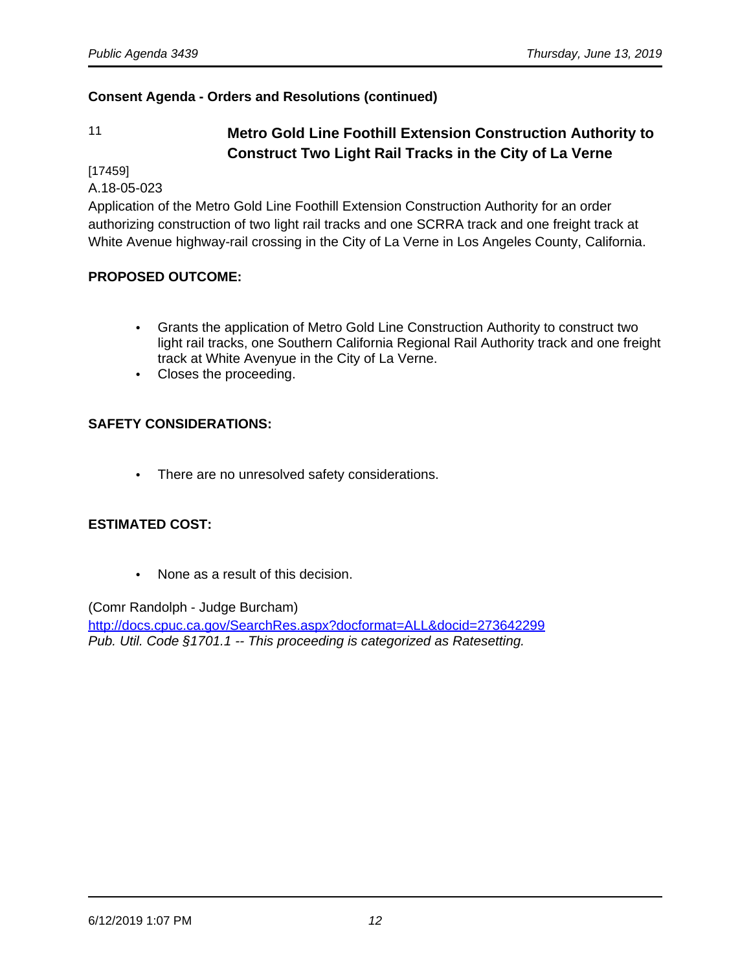# 11 **Metro Gold Line Foothill Extension Construction Authority to Construct Two Light Rail Tracks in the City of La Verne**

[17459]

A.18-05-023

Application of the Metro Gold Line Foothill Extension Construction Authority for an order authorizing construction of two light rail tracks and one SCRRA track and one freight track at White Avenue highway-rail crossing in the City of La Verne in Los Angeles County, California.

# **PROPOSED OUTCOME:**

- Grants the application of Metro Gold Line Construction Authority to construct two light rail tracks, one Southern California Regional Rail Authority track and one freight track at White Avenyue in the City of La Verne.
- Closes the proceeding.

# **SAFETY CONSIDERATIONS:**

• There are no unresolved safety considerations.

# **ESTIMATED COST:**

• None as a result of this decision.

(Comr Randolph - Judge Burcham) <http://docs.cpuc.ca.gov/SearchRes.aspx?docformat=ALL&docid=273642299> Pub. Util. Code §1701.1 -- This proceeding is categorized as Ratesetting.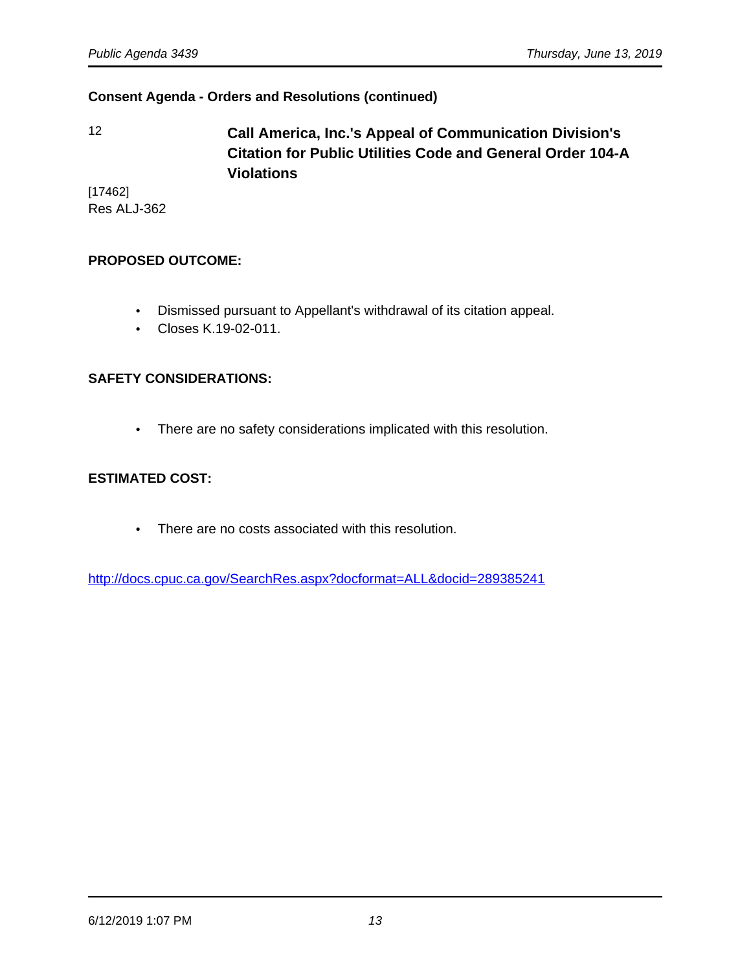12 **Call America, Inc.'s Appeal of Communication Division's Citation for Public Utilities Code and General Order 104-A Violations**

[17462] Res ALJ-362

#### **PROPOSED OUTCOME:**

- Dismissed pursuant to Appellant's withdrawal of its citation appeal.
- Closes K.19-02-011.

#### **SAFETY CONSIDERATIONS:**

• There are no safety considerations implicated with this resolution.

#### **ESTIMATED COST:**

• There are no costs associated with this resolution.

<http://docs.cpuc.ca.gov/SearchRes.aspx?docformat=ALL&docid=289385241>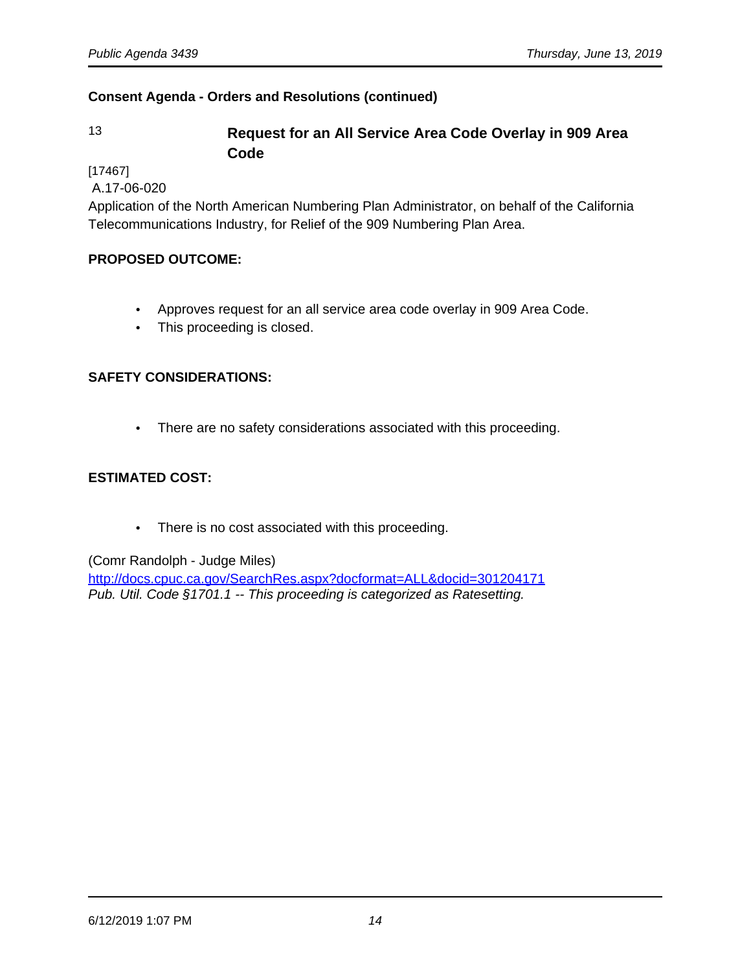# 13 **Request for an All Service Area Code Overlay in 909 Area Code**

[17467]

A.17-06-020

Application of the North American Numbering Plan Administrator, on behalf of the California Telecommunications Industry, for Relief of the 909 Numbering Plan Area.

# **PROPOSED OUTCOME:**

- Approves request for an all service area code overlay in 909 Area Code.
- This proceeding is closed.

# **SAFETY CONSIDERATIONS:**

• There are no safety considerations associated with this proceeding.

# **ESTIMATED COST:**

• There is no cost associated with this proceeding.

(Comr Randolph - Judge Miles)

<http://docs.cpuc.ca.gov/SearchRes.aspx?docformat=ALL&docid=301204171> Pub. Util. Code §1701.1 -- This proceeding is categorized as Ratesetting.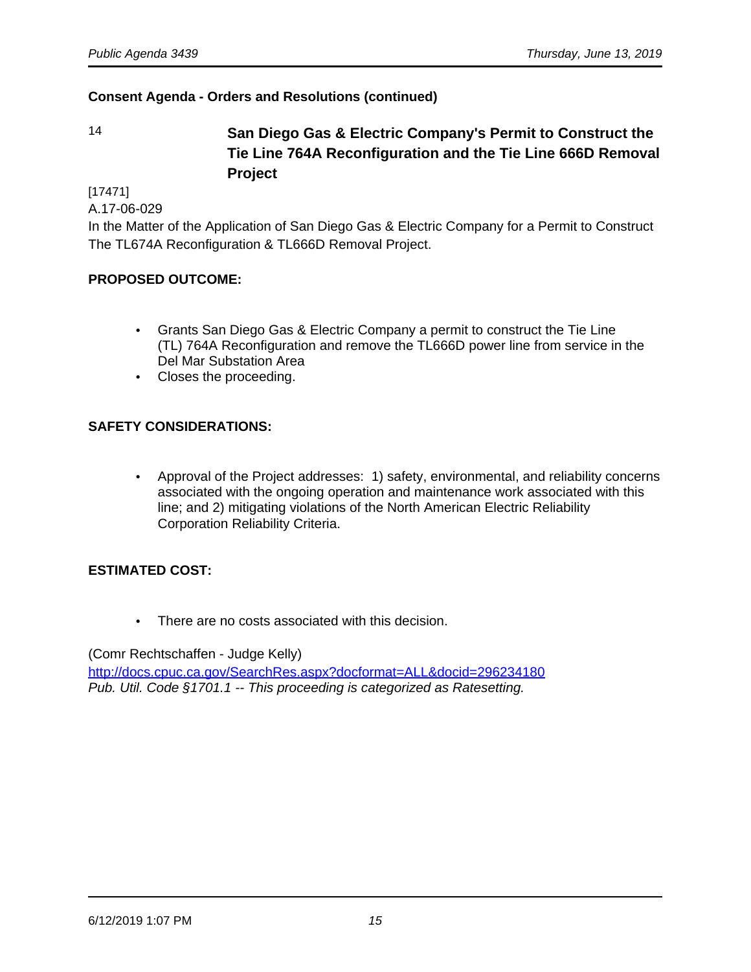14 **San Diego Gas & Electric Company's Permit to Construct the Tie Line 764A Reconfiguration and the Tie Line 666D Removal Project**

[17471]

A.17-06-029

In the Matter of the Application of San Diego Gas & Electric Company for a Permit to Construct The TL674A Reconfiguration & TL666D Removal Project.

#### **PROPOSED OUTCOME:**

- Grants San Diego Gas & Electric Company a permit to construct the Tie Line (TL) 764A Reconfiguration and remove the TL666D power line from service in the Del Mar Substation Area
- Closes the proceeding.

#### **SAFETY CONSIDERATIONS:**

• Approval of the Project addresses: 1) safety, environmental, and reliability concerns associated with the ongoing operation and maintenance work associated with this line; and 2) mitigating violations of the North American Electric Reliability Corporation Reliability Criteria.

#### **ESTIMATED COST:**

• There are no costs associated with this decision.

(Comr Rechtschaffen - Judge Kelly)

<http://docs.cpuc.ca.gov/SearchRes.aspx?docformat=ALL&docid=296234180> Pub. Util. Code §1701.1 -- This proceeding is categorized as Ratesetting.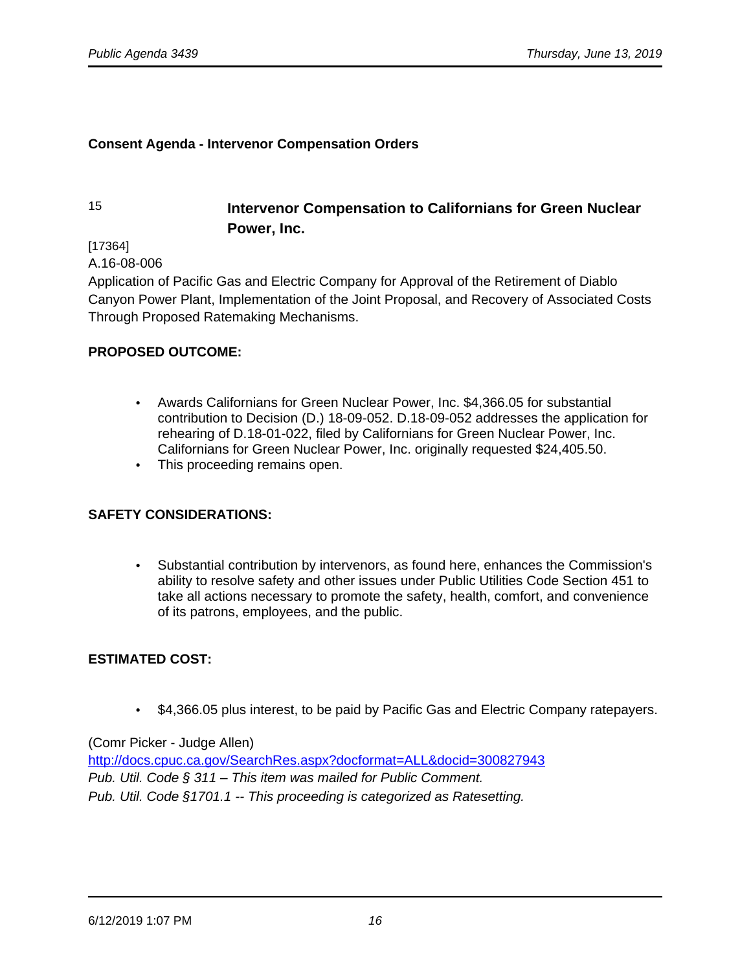#### **Consent Agenda - Intervenor Compensation Orders**

# 15 **Intervenor Compensation to Californians for Green Nuclear Power, Inc.**

[17364]

A.16-08-006

Application of Pacific Gas and Electric Company for Approval of the Retirement of Diablo Canyon Power Plant, Implementation of the Joint Proposal, and Recovery of Associated Costs Through Proposed Ratemaking Mechanisms.

#### **PROPOSED OUTCOME:**

- Awards Californians for Green Nuclear Power, Inc. \$4,366.05 for substantial contribution to Decision (D.) 18-09-052. D.18-09-052 addresses the application for rehearing of D.18-01-022, filed by Californians for Green Nuclear Power, Inc. Californians for Green Nuclear Power, Inc. originally requested \$24,405.50.
- This proceeding remains open.

#### **SAFETY CONSIDERATIONS:**

• Substantial contribution by intervenors, as found here, enhances the Commission's ability to resolve safety and other issues under Public Utilities Code Section 451 to take all actions necessary to promote the safety, health, comfort, and convenience of its patrons, employees, and the public.

#### **ESTIMATED COST:**

• \$4,366.05 plus interest, to be paid by Pacific Gas and Electric Company ratepayers.

#### (Comr Picker - Judge Allen)

<http://docs.cpuc.ca.gov/SearchRes.aspx?docformat=ALL&docid=300827943> Pub. Util. Code § 311 – This item was mailed for Public Comment. Pub. Util. Code §1701.1 -- This proceeding is categorized as Ratesetting.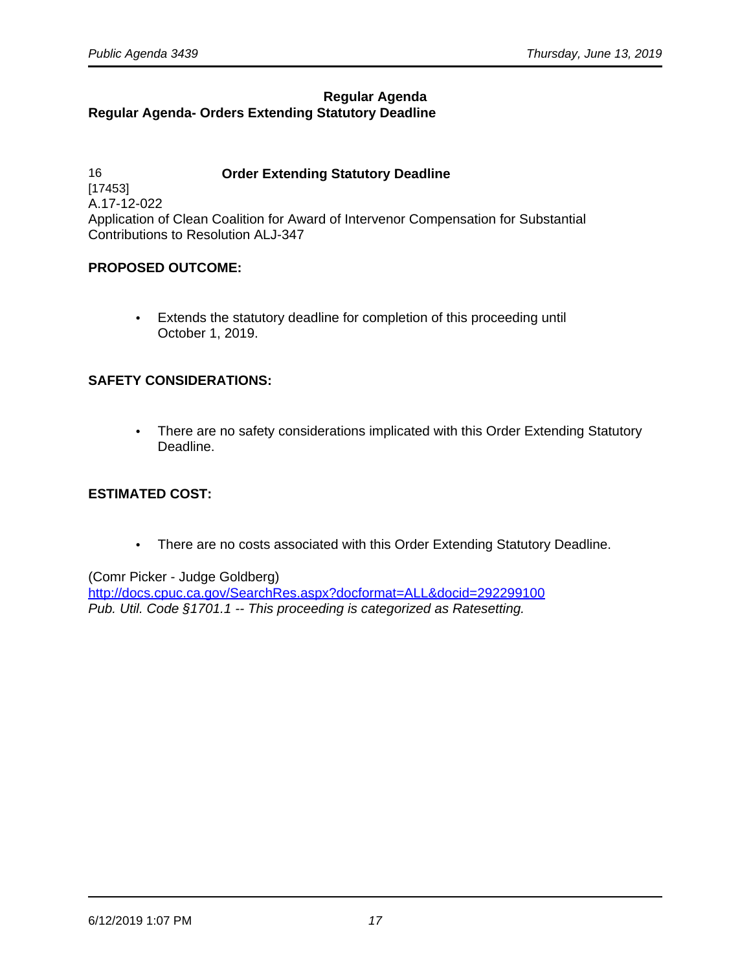# **Regular Agenda Regular Agenda- Orders Extending Statutory Deadline**

16 **Order Extending Statutory Deadline** [17453] A.17-12-022 Application of Clean Coalition for Award of Intervenor Compensation for Substantial Contributions to Resolution ALJ-347

#### **PROPOSED OUTCOME:**

• Extends the statutory deadline for completion of this proceeding until October 1, 2019.

# **SAFETY CONSIDERATIONS:**

• There are no safety considerations implicated with this Order Extending Statutory Deadline.

#### **ESTIMATED COST:**

• There are no costs associated with this Order Extending Statutory Deadline.

#### (Comr Picker - Judge Goldberg)

<http://docs.cpuc.ca.gov/SearchRes.aspx?docformat=ALL&docid=292299100> Pub. Util. Code §1701.1 -- This proceeding is categorized as Ratesetting.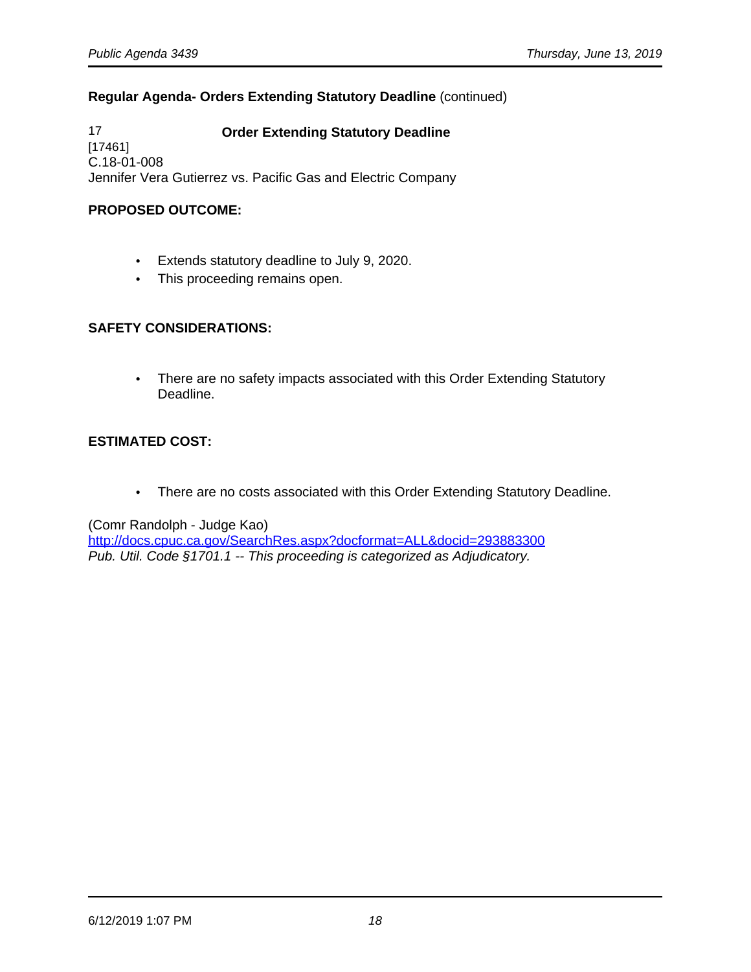# **Regular Agenda- Orders Extending Statutory Deadline** (continued)

17 **Order Extending Statutory Deadline**  [17461] C.18-01-008 Jennifer Vera Gutierrez vs. Pacific Gas and Electric Company

## **PROPOSED OUTCOME:**

- Extends statutory deadline to July 9, 2020.
- This proceeding remains open.

# **SAFETY CONSIDERATIONS:**

• There are no safety impacts associated with this Order Extending Statutory Deadline.

# **ESTIMATED COST:**

• There are no costs associated with this Order Extending Statutory Deadline.

(Comr Randolph - Judge Kao)

<http://docs.cpuc.ca.gov/SearchRes.aspx?docformat=ALL&docid=293883300> Pub. Util. Code §1701.1 -- This proceeding is categorized as Adjudicatory.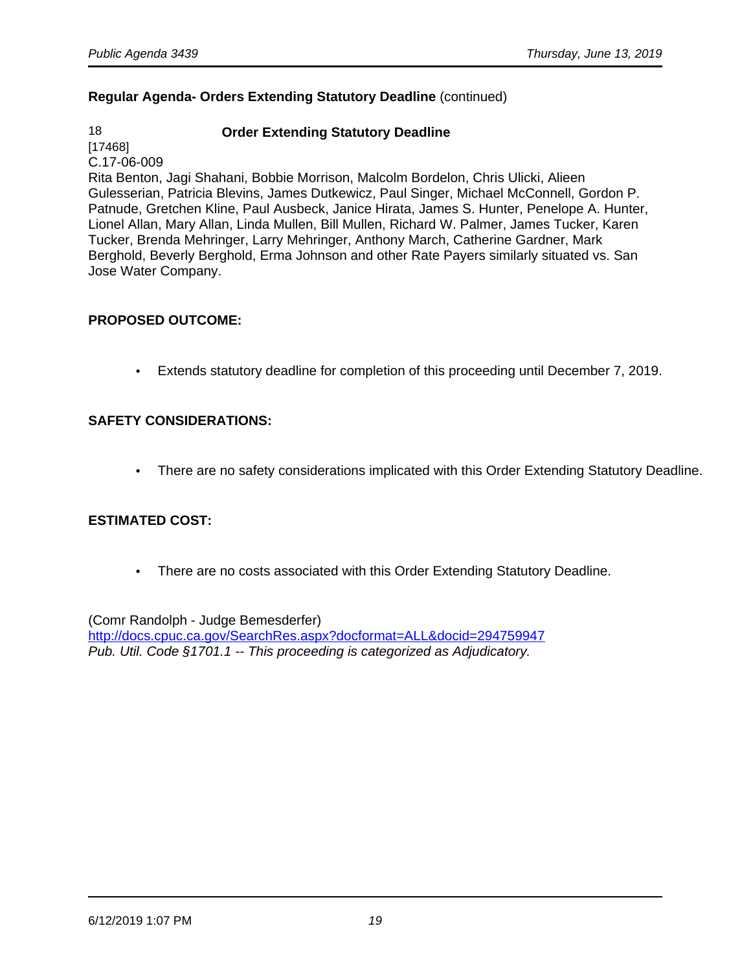# **Regular Agenda- Orders Extending Statutory Deadline** (continued)

# 18 **Order Extending Statutory Deadline**

[17468] C.17-06-009

Rita Benton, Jagi Shahani, Bobbie Morrison, Malcolm Bordelon, Chris Ulicki, Alieen Gulesserian, Patricia Blevins, James Dutkewicz, Paul Singer, Michael McConnell, Gordon P. Patnude, Gretchen Kline, Paul Ausbeck, Janice Hirata, James S. Hunter, Penelope A. Hunter, Lionel Allan, Mary Allan, Linda Mullen, Bill Mullen, Richard W. Palmer, James Tucker, Karen Tucker, Brenda Mehringer, Larry Mehringer, Anthony March, Catherine Gardner, Mark Berghold, Beverly Berghold, Erma Johnson and other Rate Payers similarly situated vs. San Jose Water Company.

#### **PROPOSED OUTCOME:**

• Extends statutory deadline for completion of this proceeding until December 7, 2019.

# **SAFETY CONSIDERATIONS:**

• There are no safety considerations implicated with this Order Extending Statutory Deadline.

# **ESTIMATED COST:**

• There are no costs associated with this Order Extending Statutory Deadline.

(Comr Randolph - Judge Bemesderfer) <http://docs.cpuc.ca.gov/SearchRes.aspx?docformat=ALL&docid=294759947> Pub. Util. Code §1701.1 -- This proceeding is categorized as Adjudicatory.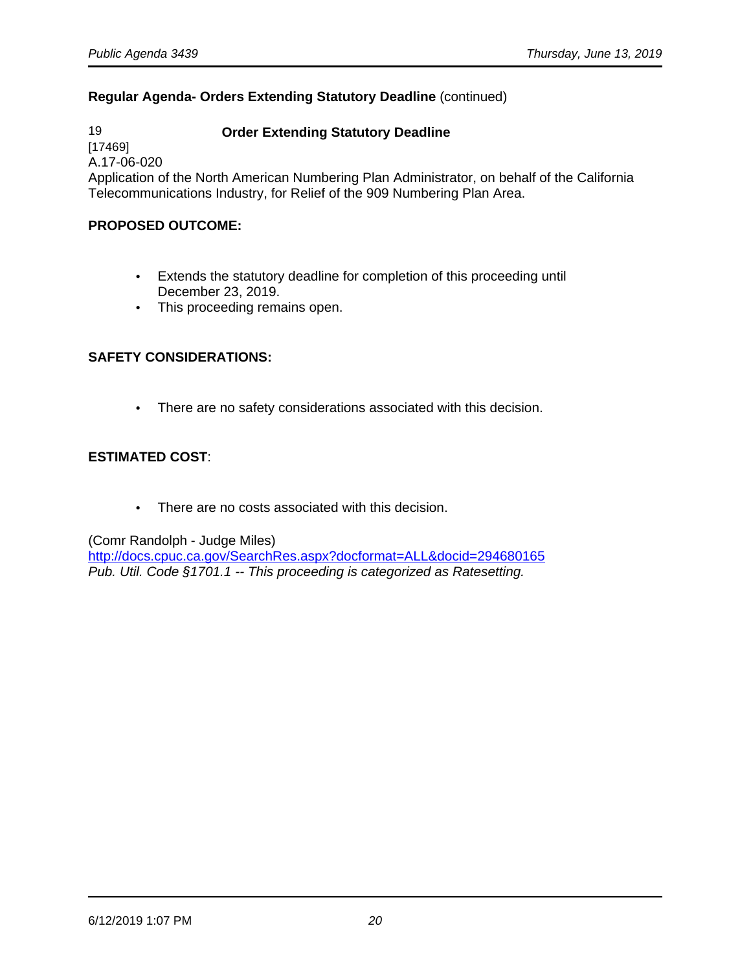# **Regular Agenda- Orders Extending Statutory Deadline** (continued)

19 **Order Extending Statutory Deadline** [17469] A.17-06-020 Application of the North American Numbering Plan Administrator, on behalf of the California Telecommunications Industry, for Relief of the 909 Numbering Plan Area.

#### **PROPOSED OUTCOME:**

- Extends the statutory deadline for completion of this proceeding until December 23, 2019.
- This proceeding remains open.

#### **SAFETY CONSIDERATIONS:**

• There are no safety considerations associated with this decision.

#### **ESTIMATED COST**:

• There are no costs associated with this decision.

(Comr Randolph - Judge Miles)

<http://docs.cpuc.ca.gov/SearchRes.aspx?docformat=ALL&docid=294680165> Pub. Util. Code §1701.1 -- This proceeding is categorized as Ratesetting.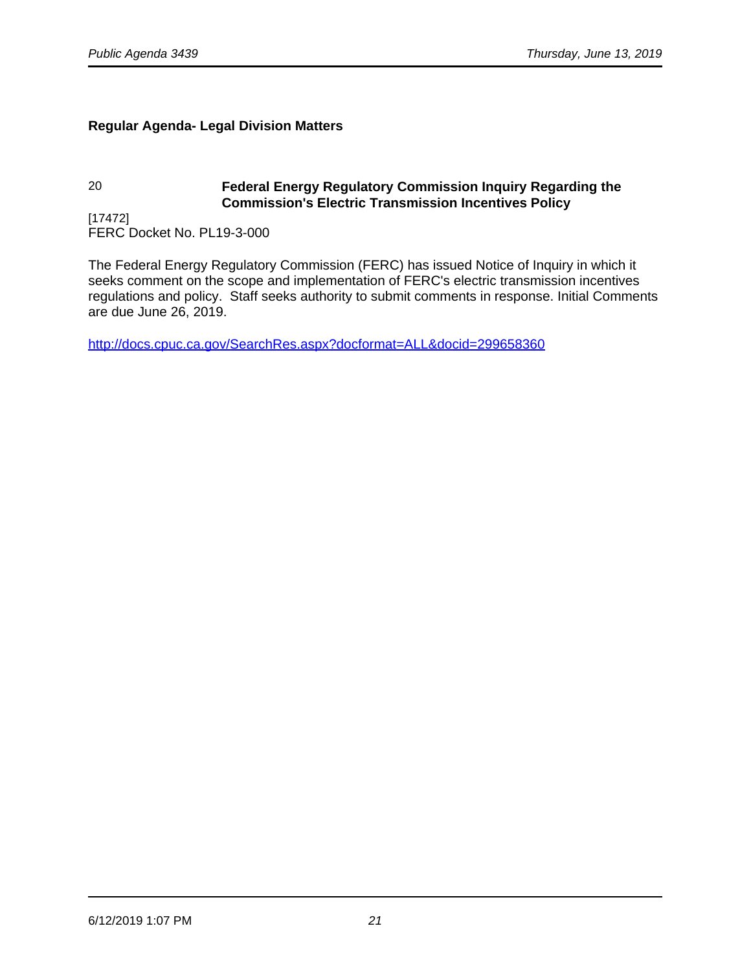# **Regular Agenda- Legal Division Matters**

# 20 **Federal Energy Regulatory Commission Inquiry Regarding the Commission's Electric Transmission Incentives Policy**

[17472] FERC Docket No. PL19-3-000

The Federal Energy Regulatory Commission (FERC) has issued Notice of Inquiry in which it seeks comment on the scope and implementation of FERC's electric transmission incentives regulations and policy. Staff seeks authority to submit comments in response. Initial Comments are due June 26, 2019.

<http://docs.cpuc.ca.gov/SearchRes.aspx?docformat=ALL&docid=299658360>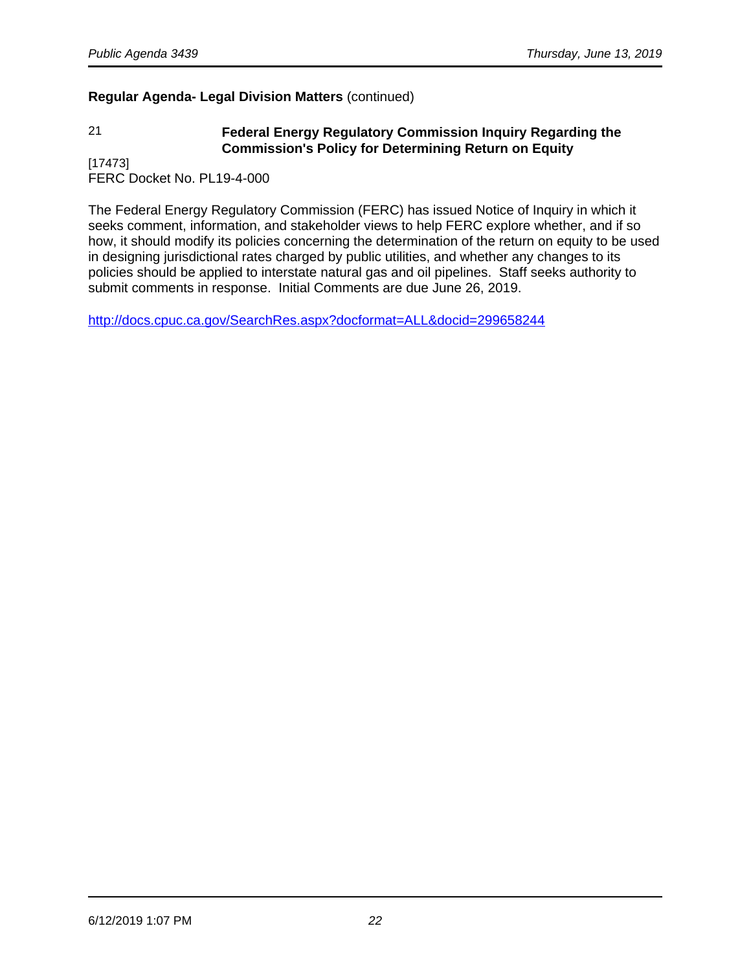# **Regular Agenda- Legal Division Matters** (continued)

# 21 **Federal Energy Regulatory Commission Inquiry Regarding the Commission's Policy for Determining Return on Equity**

[17473] FERC Docket No. PL19-4-000

The Federal Energy Regulatory Commission (FERC) has issued Notice of Inquiry in which it seeks comment, information, and stakeholder views to help FERC explore whether, and if so how, it should modify its policies concerning the determination of the return on equity to be used in designing jurisdictional rates charged by public utilities, and whether any changes to its policies should be applied to interstate natural gas and oil pipelines. Staff seeks authority to submit comments in response. Initial Comments are due June 26, 2019.

<http://docs.cpuc.ca.gov/SearchRes.aspx?docformat=ALL&docid=299658244>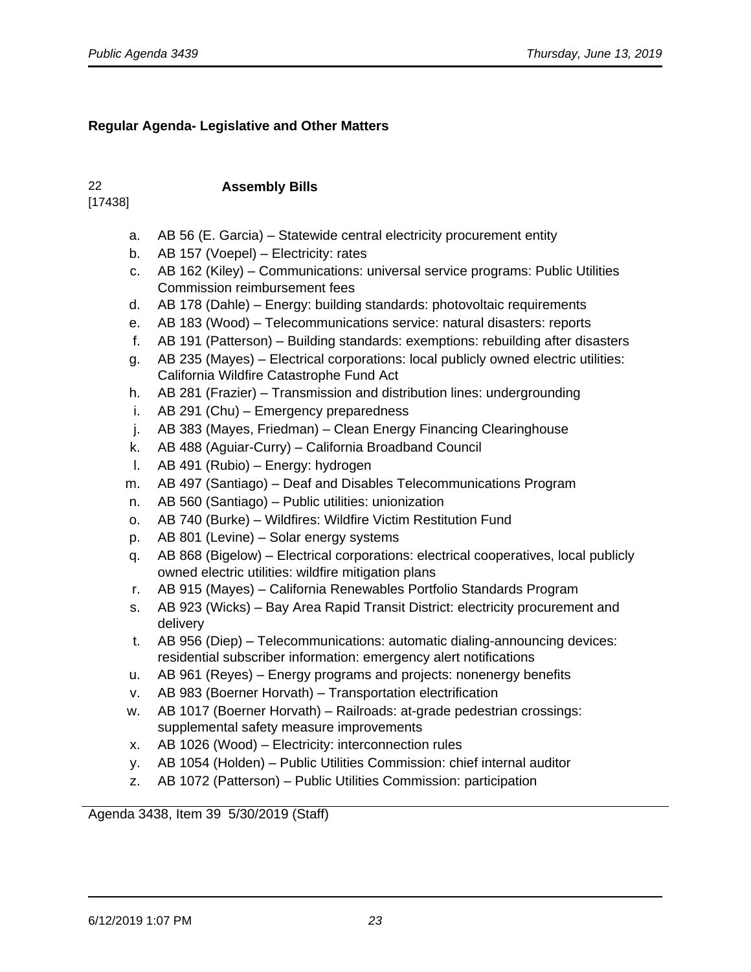# **Regular Agenda- Legislative and Other Matters**

# [17438]

# 22 **Assembly Bills**

- a. AB 56 (E. Garcia) Statewide central electricity procurement entity
- b. AB 157 (Voepel) Electricity: rates
- c. AB 162 (Kiley) Communications: universal service programs: Public Utilities Commission reimbursement fees
- d. AB 178 (Dahle) Energy: building standards: photovoltaic requirements
- e. AB 183 (Wood) Telecommunications service: natural disasters: reports
- f. AB 191 (Patterson) Building standards: exemptions: rebuilding after disasters
- g. AB 235 (Mayes) Electrical corporations: local publicly owned electric utilities: California Wildfire Catastrophe Fund Act
- h. AB 281 (Frazier) Transmission and distribution lines: undergrounding
- i. AB 291 (Chu) Emergency preparedness
- j. AB 383 (Mayes, Friedman) Clean Energy Financing Clearinghouse
- k. AB 488 (Aguiar-Curry) California Broadband Council
- l. AB 491 (Rubio) Energy: hydrogen
- m. AB 497 (Santiago) Deaf and Disables Telecommunications Program
- n. AB 560 (Santiago) Public utilities: unionization
- o. AB 740 (Burke) Wildfires: Wildfire Victim Restitution Fund
- p. AB 801 (Levine) Solar energy systems
- q. AB 868 (Bigelow) Electrical corporations: electrical cooperatives, local publicly owned electric utilities: wildfire mitigation plans
- r. AB 915 (Mayes) California Renewables Portfolio Standards Program
- s. AB 923 (Wicks) Bay Area Rapid Transit District: electricity procurement and delivery
- t. AB 956 (Diep) Telecommunications: automatic dialing-announcing devices: residential subscriber information: emergency alert notifications
- u. AB 961 (Reyes) Energy programs and projects: nonenergy benefits
- v. AB 983 (Boerner Horvath) Transportation electrification
- w. AB 1017 (Boerner Horvath) Railroads: at-grade pedestrian crossings: supplemental safety measure improvements
- x. AB 1026 (Wood) Electricity: interconnection rules
- y. AB 1054 (Holden) Public Utilities Commission: chief internal auditor
- z. AB 1072 (Patterson) Public Utilities Commission: participation

Agenda 3438, Item 39 5/30/2019 (Staff)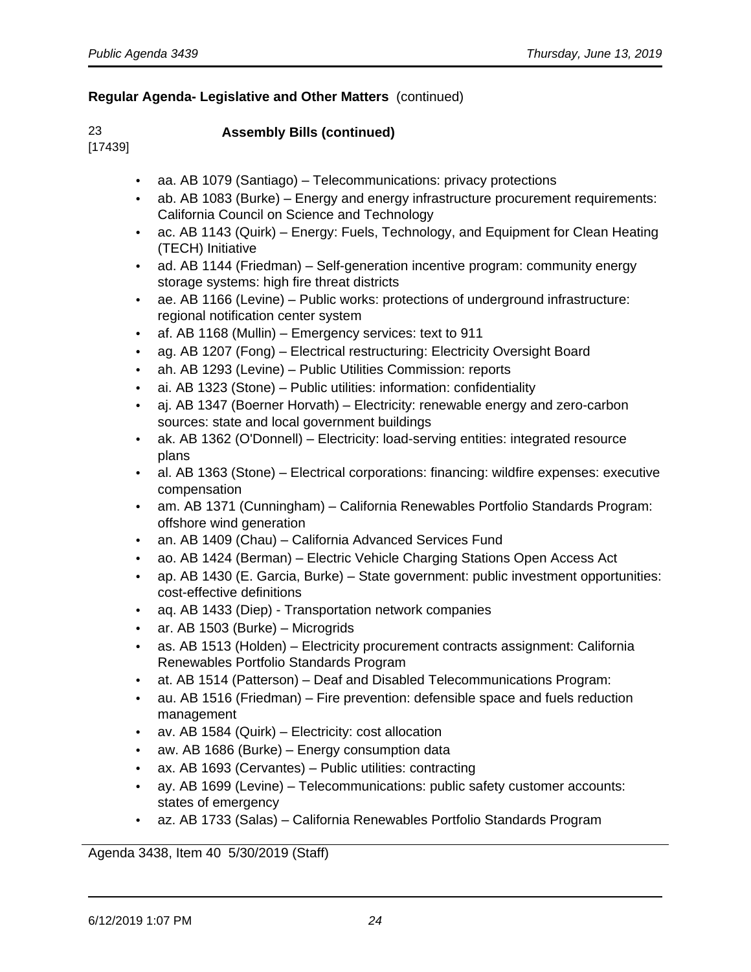# 23 **Assembly Bills (continued)**

[17439]

- aa. AB 1079 (Santiago) Telecommunications: privacy protections
- ab. AB 1083 (Burke) Energy and energy infrastructure procurement requirements: California Council on Science and Technology
- ac. AB 1143 (Quirk) Energy: Fuels, Technology, and Equipment for Clean Heating (TECH) Initiative
- ad. AB 1144 (Friedman) Self-generation incentive program: community energy storage systems: high fire threat districts
- ae. AB 1166 (Levine) Public works: protections of underground infrastructure: regional notification center system
- af. AB 1168 (Mullin) Emergency services: text to 911
- ag. AB 1207 (Fong) Electrical restructuring: Electricity Oversight Board
- ah. AB 1293 (Levine) Public Utilities Commission: reports
- ai. AB 1323 (Stone) Public utilities: information: confidentiality
- aj. AB 1347 (Boerner Horvath) Electricity: renewable energy and zero-carbon sources: state and local government buildings
- ak. AB 1362 (O'Donnell) Electricity: load-serving entities: integrated resource plans
- al. AB 1363 (Stone) Electrical corporations: financing: wildfire expenses: executive compensation
- am. AB 1371 (Cunningham) California Renewables Portfolio Standards Program: offshore wind generation
- an. AB 1409 (Chau) California Advanced Services Fund
- ao. AB 1424 (Berman) Electric Vehicle Charging Stations Open Access Act
- ap. AB 1430 (E. Garcia, Burke) State government: public investment opportunities: cost-effective definitions
- aq. AB 1433 (Diep) Transportation network companies
- ar. AB 1503 (Burke) Microgrids
- as. AB 1513 (Holden) Electricity procurement contracts assignment: California Renewables Portfolio Standards Program
- at. AB 1514 (Patterson) Deaf and Disabled Telecommunications Program:
- au. AB 1516 (Friedman) Fire prevention: defensible space and fuels reduction management
- av. AB 1584 (Quirk) Electricity: cost allocation
- aw. AB 1686 (Burke) Energy consumption data
- ax. AB 1693 (Cervantes) Public utilities: contracting
- ay. AB 1699 (Levine) Telecommunications: public safety customer accounts: states of emergency
- az. AB 1733 (Salas) California Renewables Portfolio Standards Program

Agenda 3438, Item 40 5/30/2019 (Staff)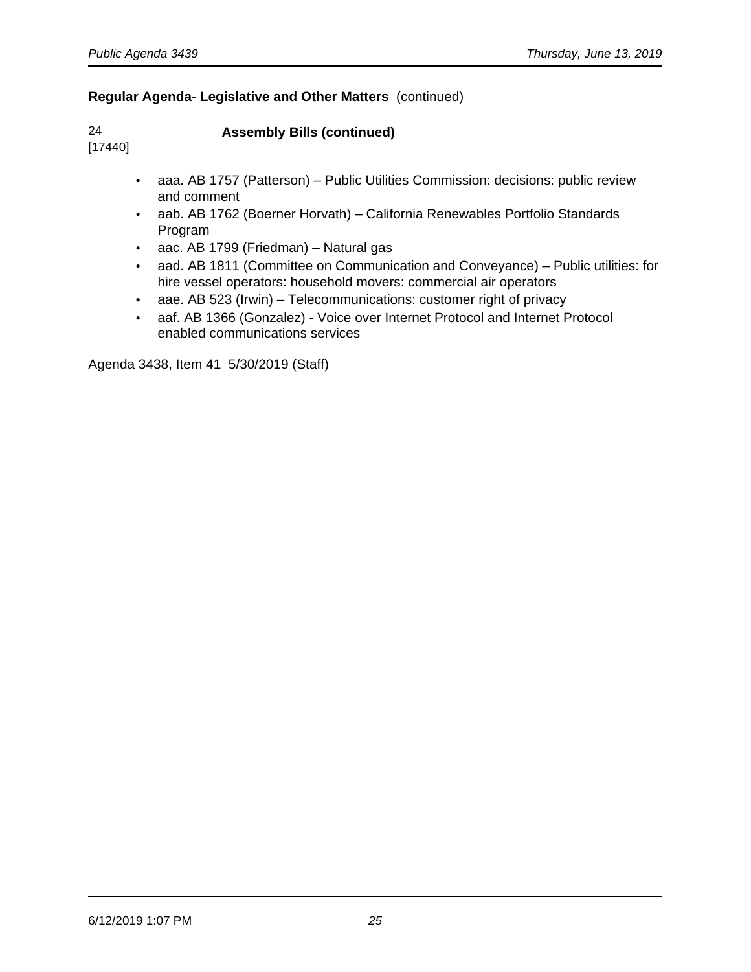[17440]

24 **Assembly Bills (continued)** 

- aaa. AB 1757 (Patterson) Public Utilities Commission: decisions: public review and comment
- aab. AB 1762 (Boerner Horvath) California Renewables Portfolio Standards Program
- aac. AB 1799 (Friedman) Natural gas
- aad. AB 1811 (Committee on Communication and Conveyance) Public utilities: for hire vessel operators: household movers: commercial air operators
- aae. AB 523 (Irwin) Telecommunications: customer right of privacy
- aaf. AB 1366 (Gonzalez) Voice over Internet Protocol and Internet Protocol enabled communications services

Agenda 3438, Item 41 5/30/2019 (Staff)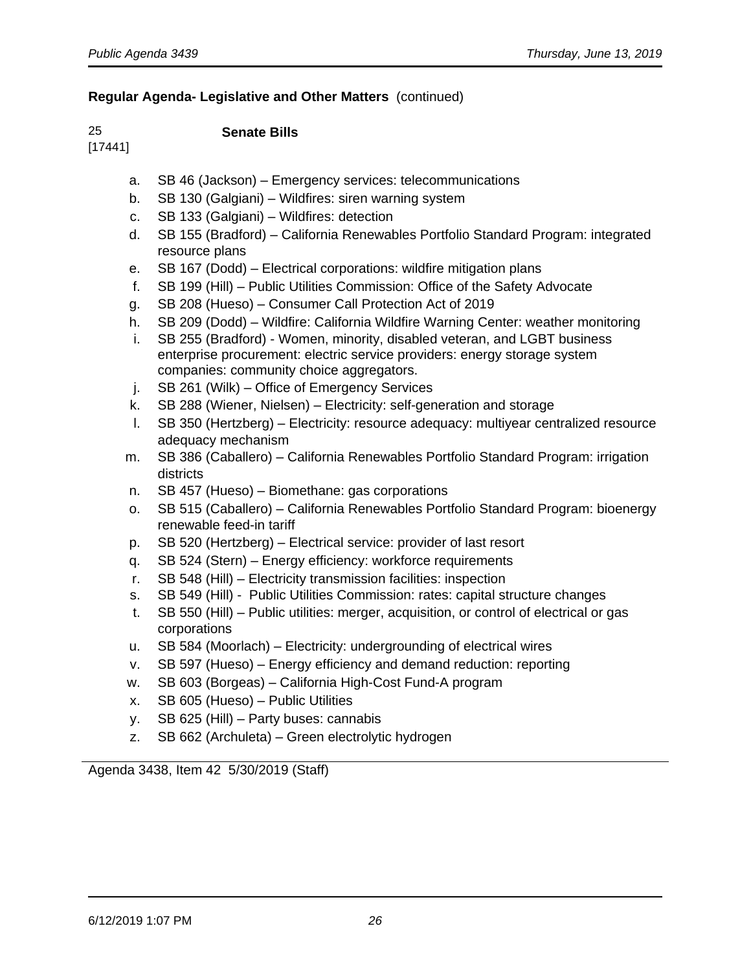# [17441]

# 25 **Senate Bills**

- a. SB 46 (Jackson) Emergency services: telecommunications
- b. SB 130 (Galgiani) Wildfires: siren warning system
- c. SB 133 (Galgiani) Wildfires: detection
- d. SB 155 (Bradford) California Renewables Portfolio Standard Program: integrated resource plans
- e. SB 167 (Dodd) Electrical corporations: wildfire mitigation plans
- f. SB 199 (Hill) Public Utilities Commission: Office of the Safety Advocate
- g. SB 208 (Hueso) Consumer Call Protection Act of 2019
- h. SB 209 (Dodd) Wildfire: California Wildfire Warning Center: weather monitoring
- i. SB 255 (Bradford) Women, minority, disabled veteran, and LGBT business enterprise procurement: electric service providers: energy storage system companies: community choice aggregators.
- j. SB 261 (Wilk) Office of Emergency Services
- k. SB 288 (Wiener, Nielsen) Electricity: self-generation and storage
- l. SB 350 (Hertzberg) Electricity: resource adequacy: multiyear centralized resource adequacy mechanism
- m. SB 386 (Caballero) California Renewables Portfolio Standard Program: irrigation districts
- n. SB 457 (Hueso) Biomethane: gas corporations
- o. SB 515 (Caballero) California Renewables Portfolio Standard Program: bioenergy renewable feed-in tariff
- p. SB 520 (Hertzberg) Electrical service: provider of last resort
- q. SB 524 (Stern) Energy efficiency: workforce requirements
- r. SB 548 (Hill) Electricity transmission facilities: inspection
- s. SB 549 (Hill) Public Utilities Commission: rates: capital structure changes
- t. SB 550 (Hill) Public utilities: merger, acquisition, or control of electrical or gas corporations
- u. SB 584 (Moorlach) Electricity: undergrounding of electrical wires
- v. SB 597 (Hueso) Energy efficiency and demand reduction: reporting
- w. SB 603 (Borgeas) California High-Cost Fund-A program
- x. SB 605 (Hueso) Public Utilities
- y. SB 625 (Hill) Party buses: cannabis
- z. SB 662 (Archuleta) Green electrolytic hydrogen

Agenda 3438, Item 42 5/30/2019 (Staff)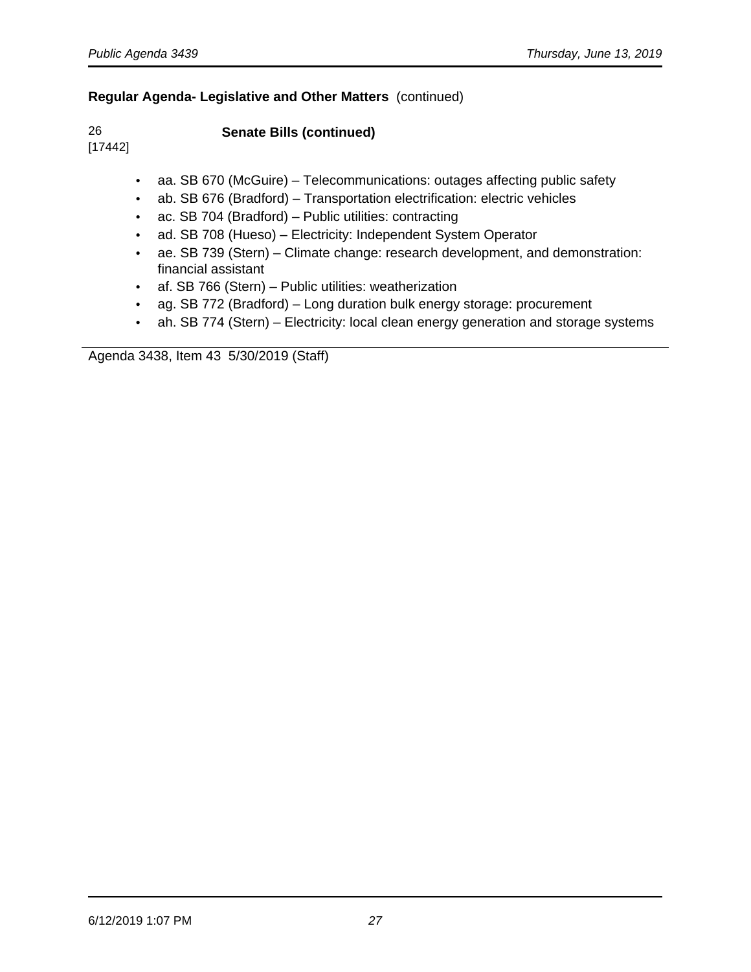[17442]

26 **Senate Bills (continued)** 

• aa. SB 670 (McGuire) – Telecommunications: outages affecting public safety

- ab. SB 676 (Bradford) Transportation electrification: electric vehicles
- ac. SB 704 (Bradford) Public utilities: contracting
- ad. SB 708 (Hueso) Electricity: Independent System Operator
- ae. SB 739 (Stern) Climate change: research development, and demonstration: financial assistant
- af. SB 766 (Stern) Public utilities: weatherization
- ag. SB 772 (Bradford) Long duration bulk energy storage: procurement
- ah. SB 774 (Stern) Electricity: local clean energy generation and storage systems

Agenda 3438, Item 43 5/30/2019 (Staff)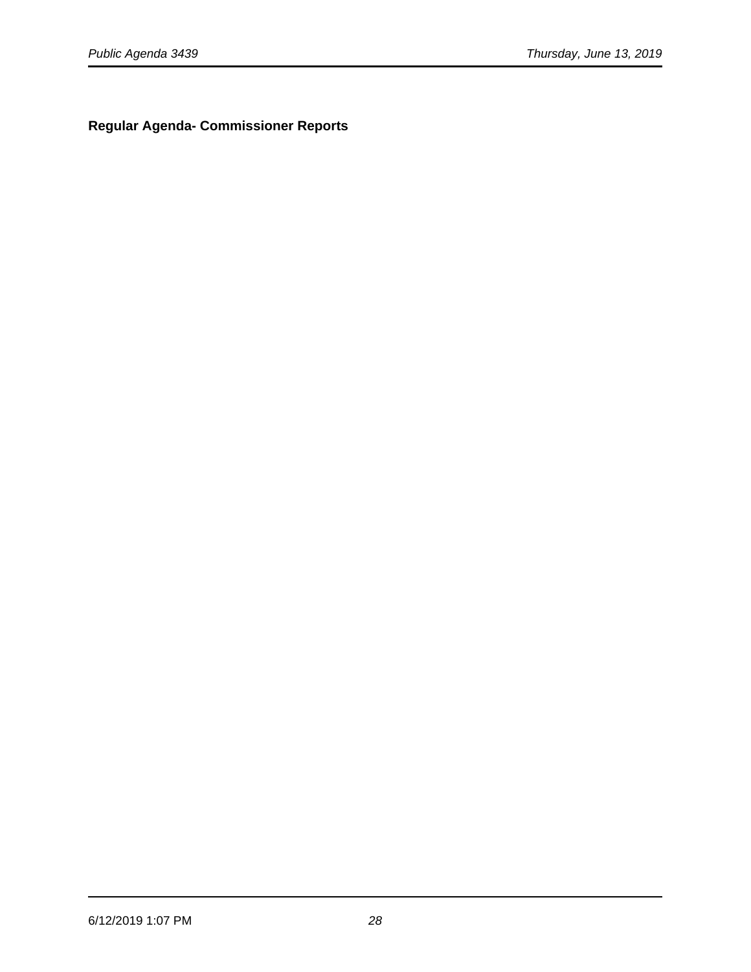**Regular Agenda- Commissioner Reports**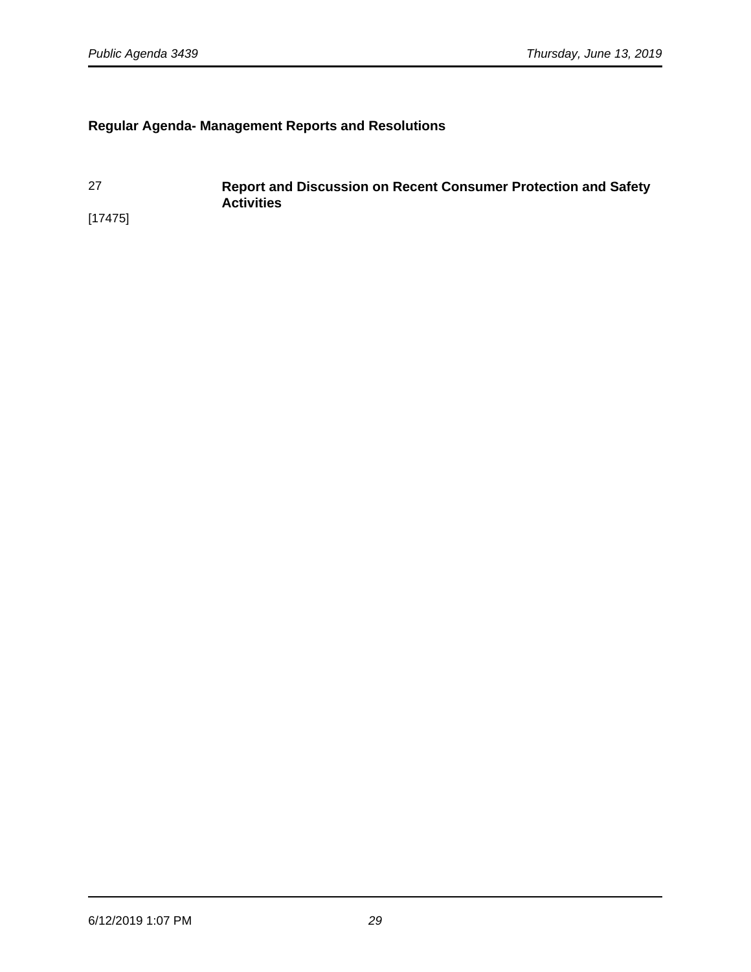# **Regular Agenda- Management Reports and Resolutions**

27 **Report and Discussion on Recent Consumer Protection and Safety Activities**  [17475]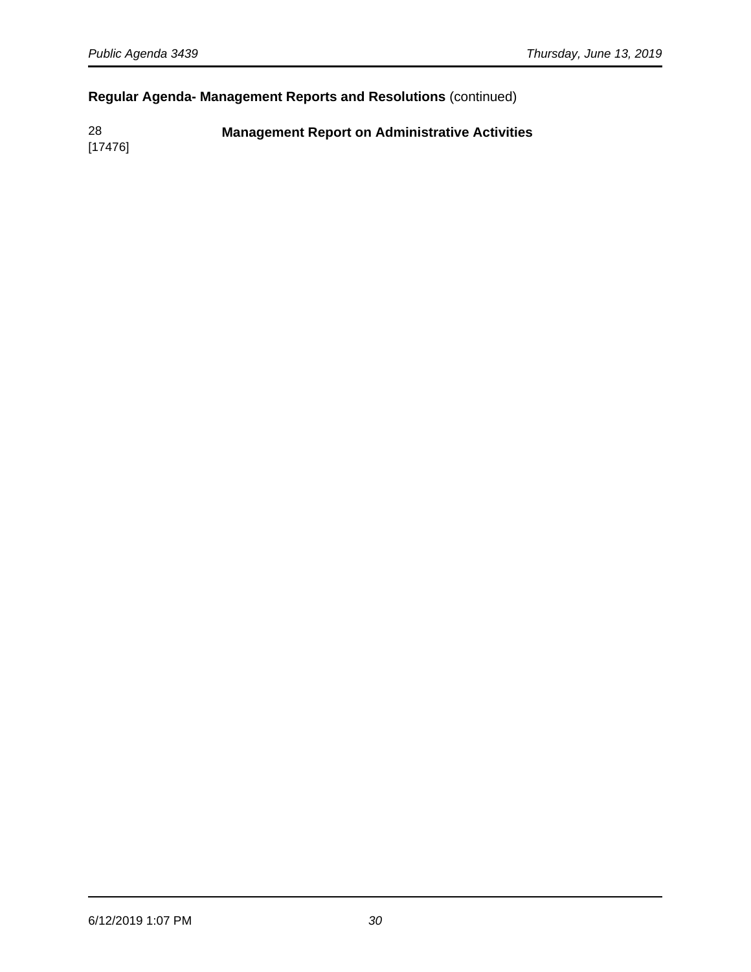# **Regular Agenda- Management Reports and Resolutions** (continued)

28 **Management Report on Administrative Activities**

[17476]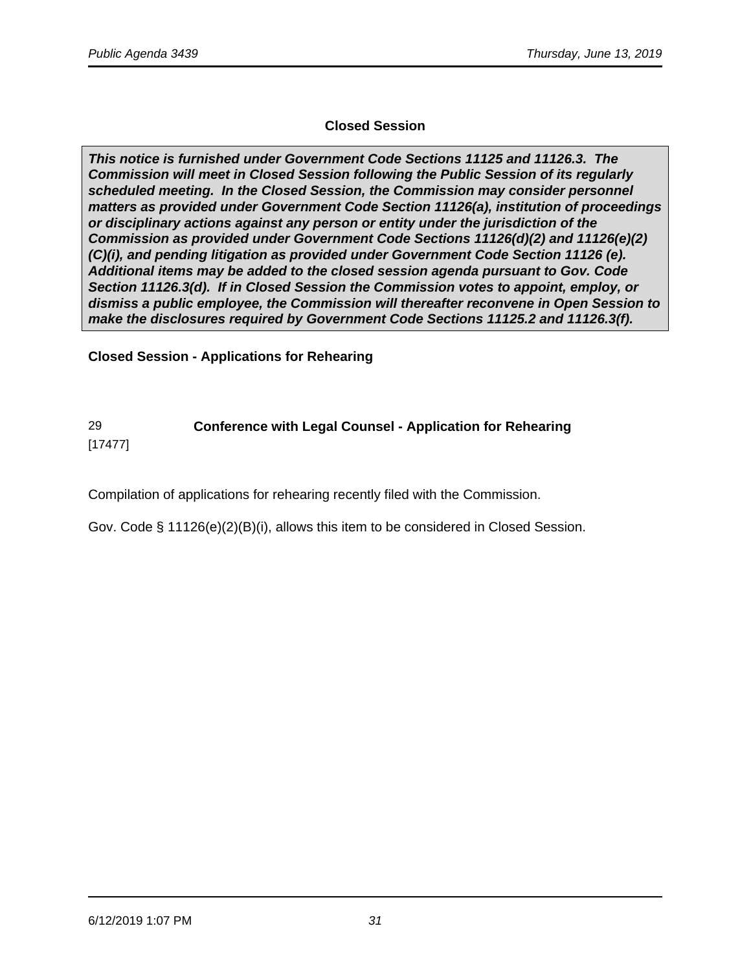# **Closed Session**

**This notice is furnished under Government Code Sections 11125 and 11126.3. The Commission will meet in Closed Session following the Public Session of its regularly scheduled meeting. In the Closed Session, the Commission may consider personnel matters as provided under Government Code Section 11126(a), institution of proceedings or disciplinary actions against any person or entity under the jurisdiction of the Commission as provided under Government Code Sections 11126(d)(2) and 11126(e)(2) (C)(i), and pending litigation as provided under Government Code Section 11126 (e). Additional items may be added to the closed session agenda pursuant to Gov. Code Section 11126.3(d). If in Closed Session the Commission votes to appoint, employ, or dismiss a public employee, the Commission will thereafter reconvene in Open Session to make the disclosures required by Government Code Sections 11125.2 and 11126.3(f).**

**Closed Session - Applications for Rehearing** 

#### 29 **Conference with Legal Counsel - Application for Rehearing** [17477]

Compilation of applications for rehearing recently filed with the Commission.

Gov. Code § 11126(e)(2)(B)(i), allows this item to be considered in Closed Session.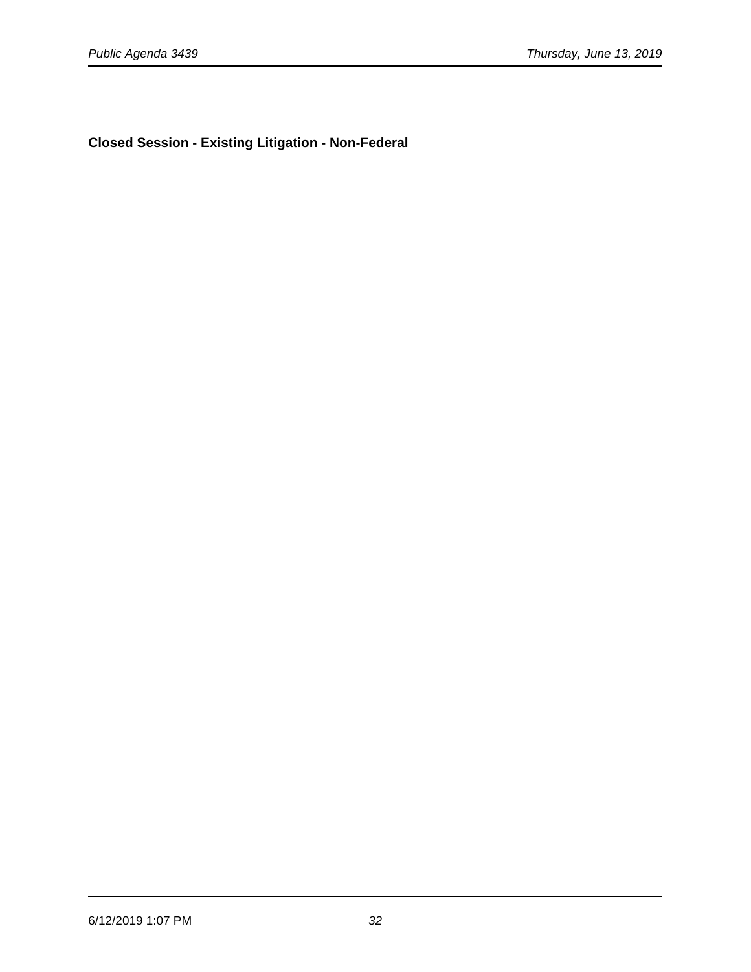**Closed Session - Existing Litigation - Non-Federal**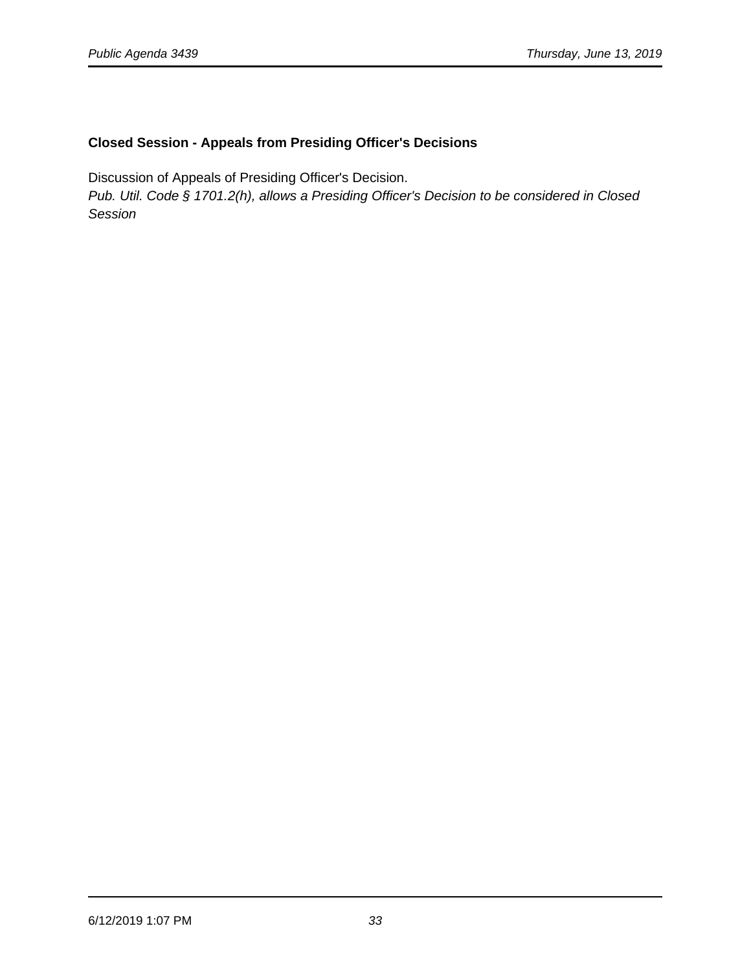# **Closed Session - Appeals from Presiding Officer's Decisions**

Discussion of Appeals of Presiding Officer's Decision.

Pub. Util. Code § 1701.2(h), allows a Presiding Officer's Decision to be considered in Closed Session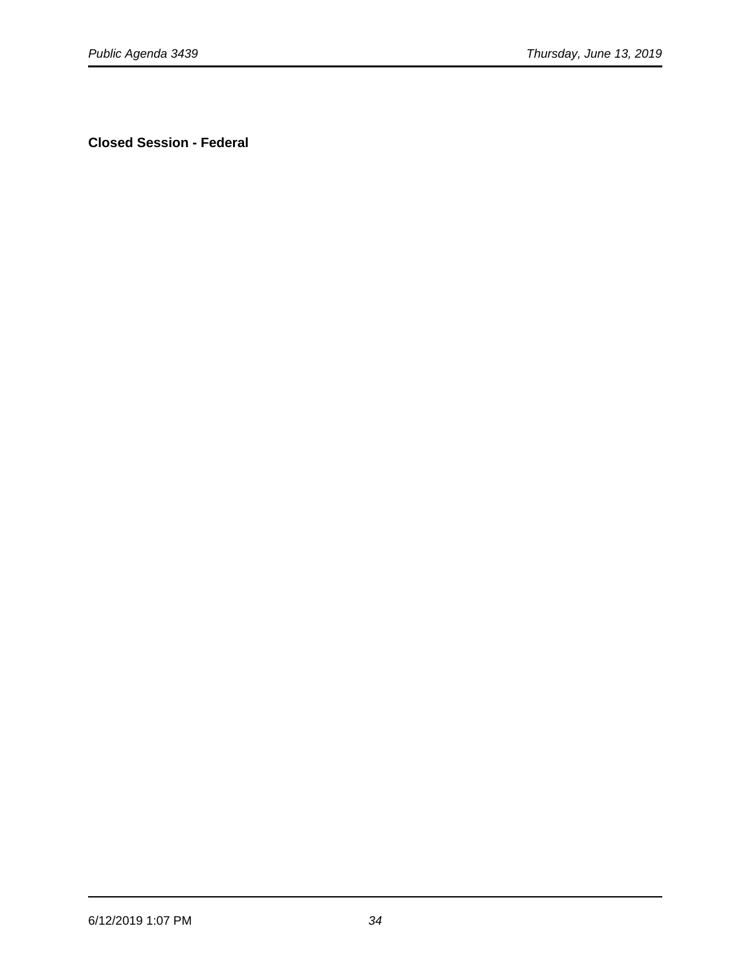**Closed Session - Federal**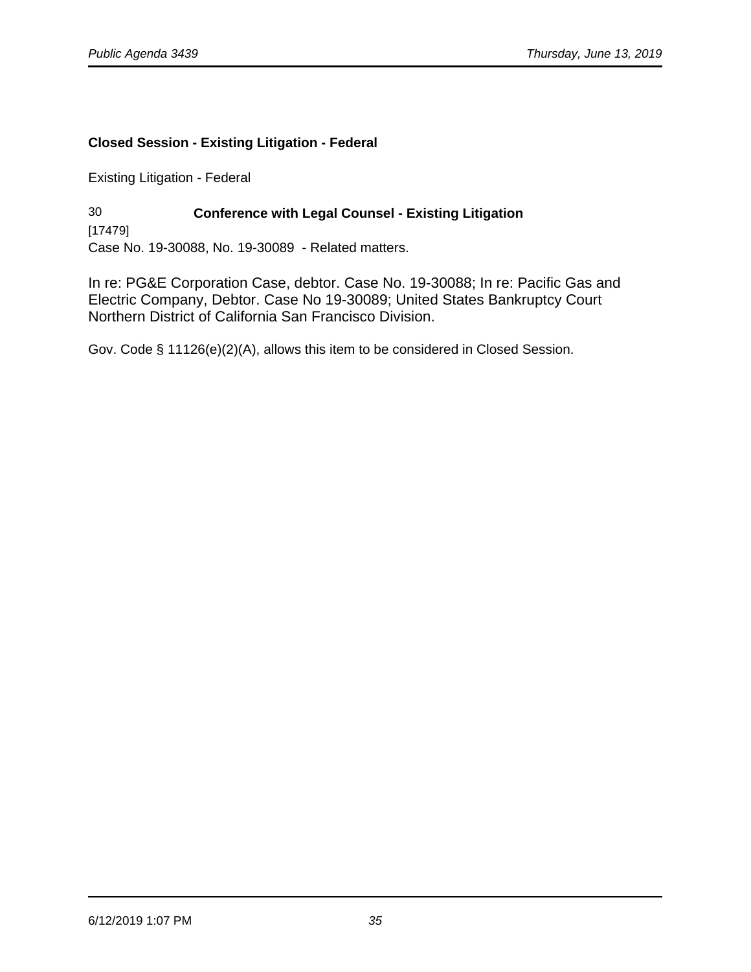# **Closed Session - Existing Litigation - Federal**

Existing Litigation - Federal

30 **Conference with Legal Counsel - Existing Litigation**  [17479] Case No. 19-30088, No. 19-30089 - Related matters.

In re: PG&E Corporation Case, debtor. Case No. 19-30088; In re: Pacific Gas and Electric Company, Debtor. Case No 19-30089; United States Bankruptcy Court Northern District of California San Francisco Division.

Gov. Code § 11126(e)(2)(A), allows this item to be considered in Closed Session.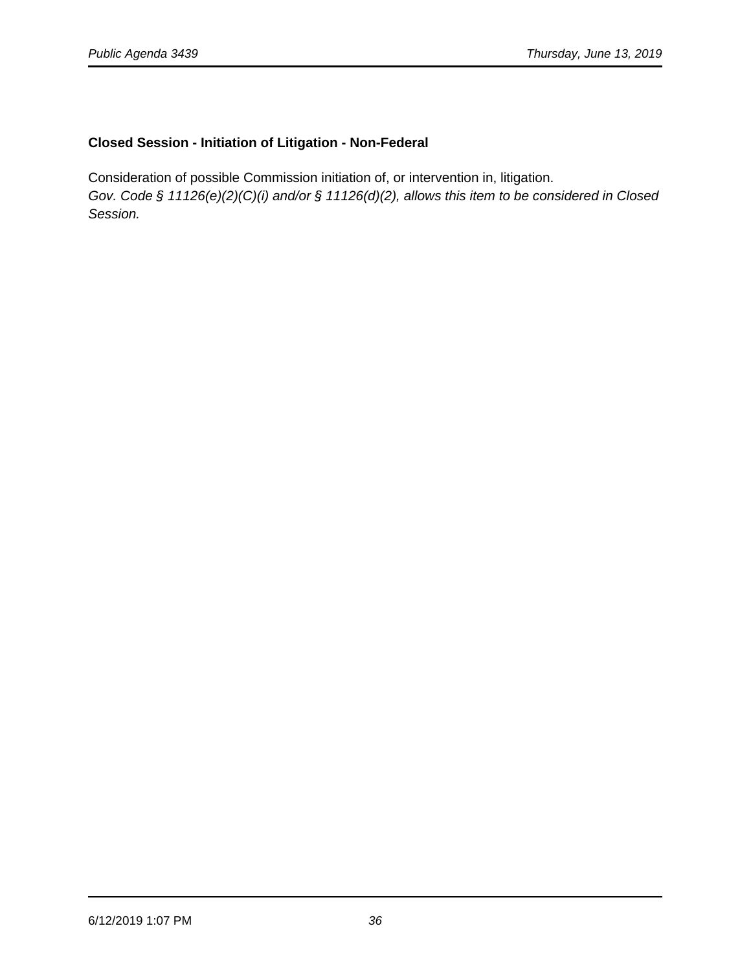# **Closed Session - Initiation of Litigation - Non-Federal**

Consideration of possible Commission initiation of, or intervention in, litigation. Gov. Code § 11126(e)(2)(C)(i) and/or § 11126(d)(2), allows this item to be considered in Closed Session.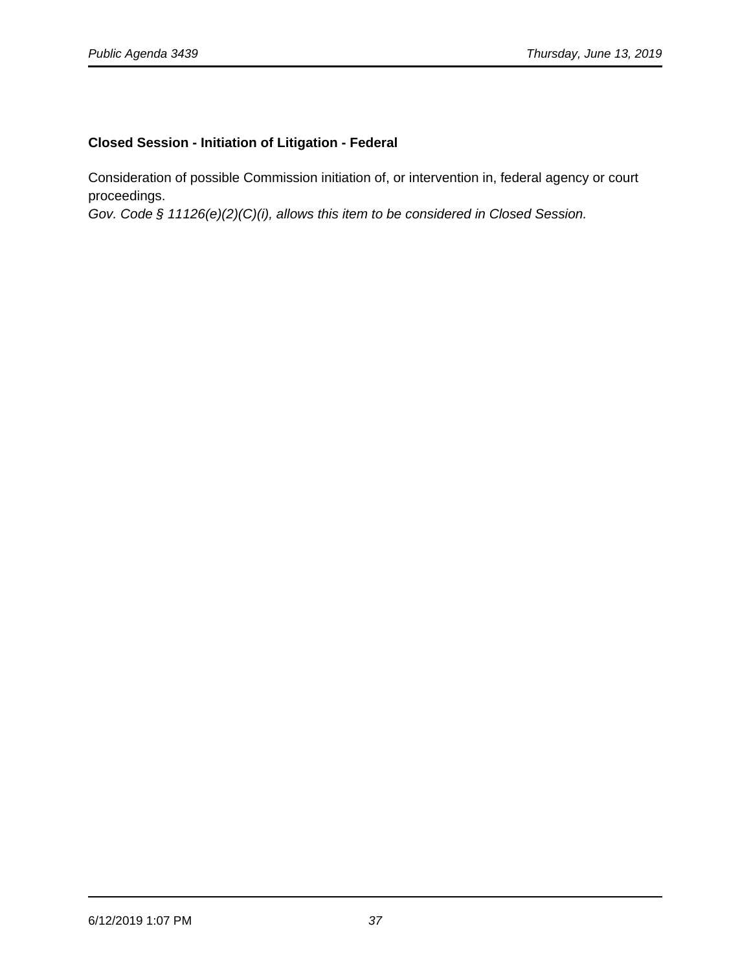# **Closed Session - Initiation of Litigation - Federal**

Consideration of possible Commission initiation of, or intervention in, federal agency or court proceedings.

Gov. Code § 11126(e)(2)(C)(i), allows this item to be considered in Closed Session.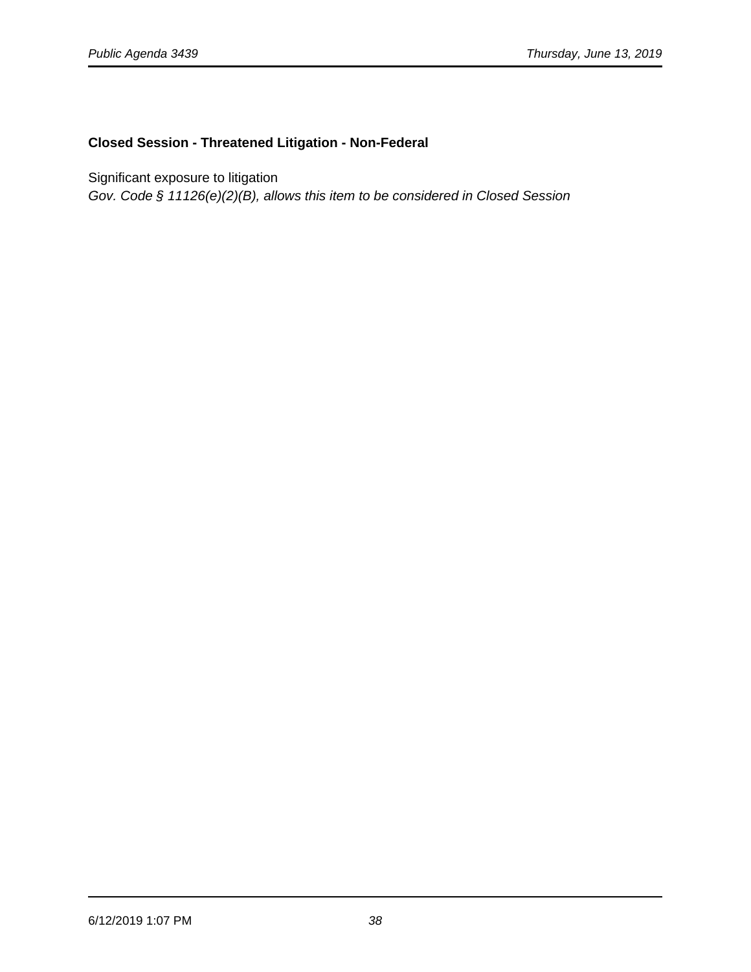# **Closed Session - Threatened Litigation - Non-Federal**

Significant exposure to litigation

Gov. Code § 11126(e)(2)(B), allows this item to be considered in Closed Session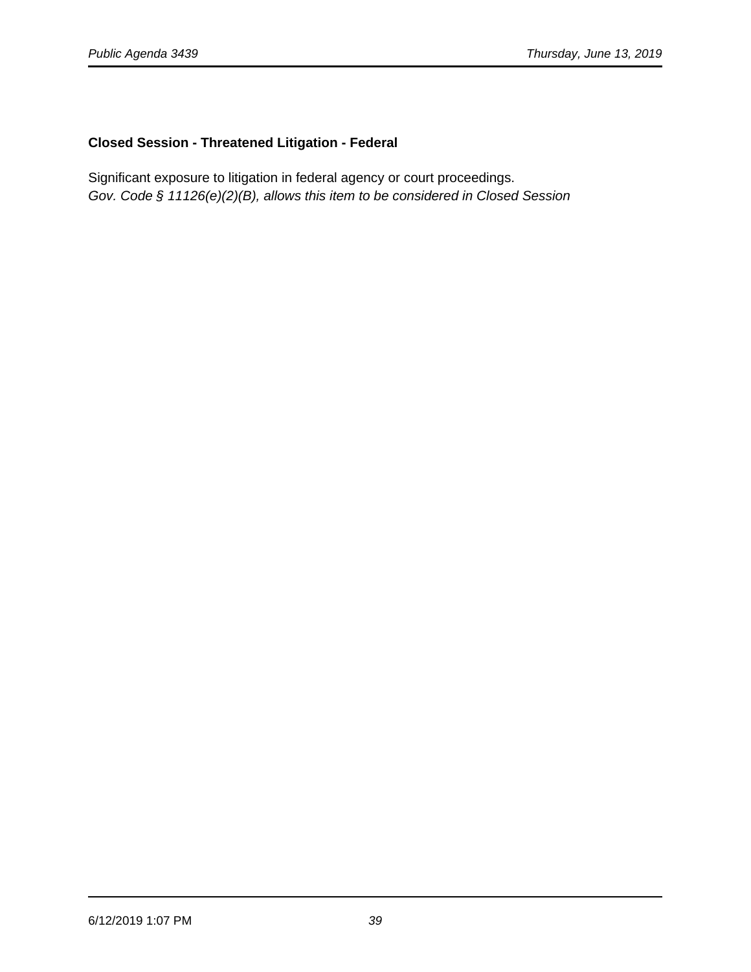# **Closed Session - Threatened Litigation - Federal**

Significant exposure to litigation in federal agency or court proceedings. Gov. Code § 11126(e)(2)(B), allows this item to be considered in Closed Session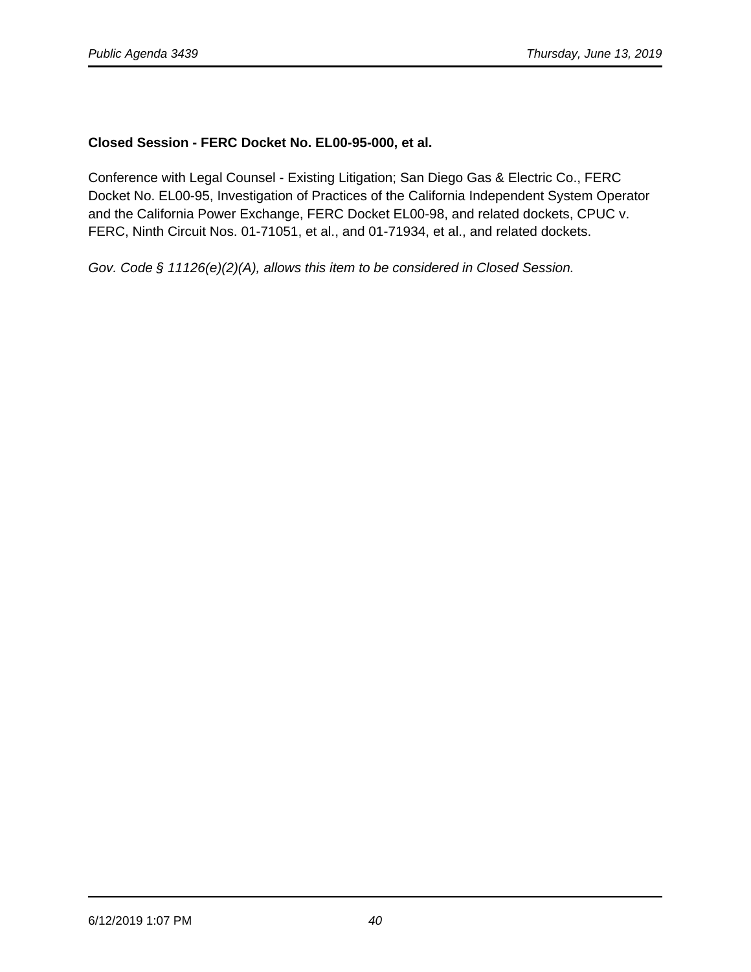# **Closed Session - FERC Docket No. EL00-95-000, et al.**

Conference with Legal Counsel - Existing Litigation; San Diego Gas & Electric Co., FERC Docket No. EL00-95, Investigation of Practices of the California Independent System Operator and the California Power Exchange, FERC Docket EL00-98, and related dockets, CPUC v. FERC, Ninth Circuit Nos. 01-71051, et al., and 01-71934, et al., and related dockets.

Gov. Code § 11126(e)(2)(A), allows this item to be considered in Closed Session.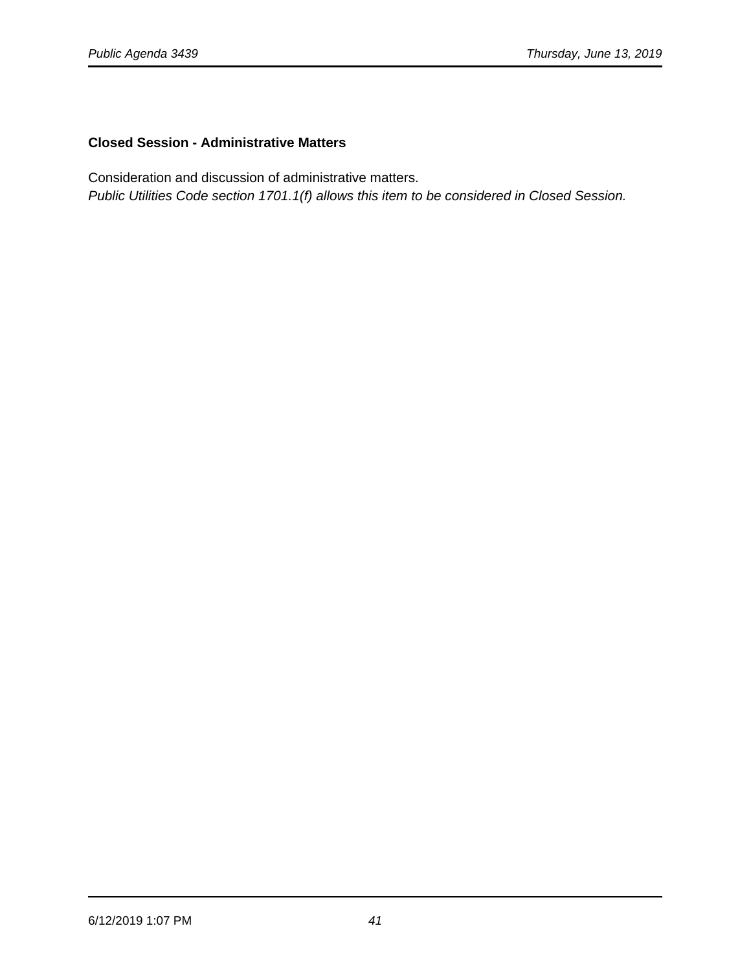# **Closed Session - Administrative Matters**

Consideration and discussion of administrative matters.

Public Utilities Code section 1701.1(f) allows this item to be considered in Closed Session.